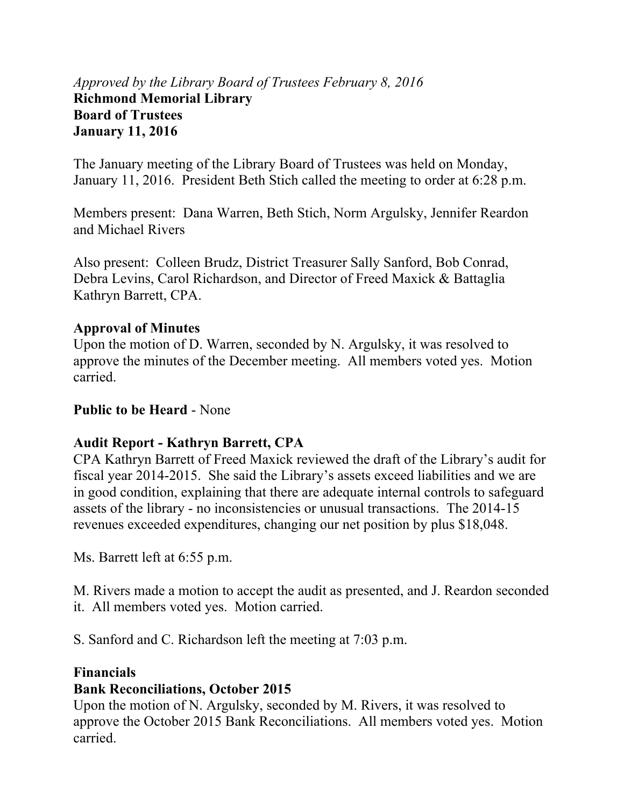# *Approved by the Library Board of Trustees February 8, 2016*  **Richmond Memorial Library Board of Trustees January 11, 2016**

The January meeting of the Library Board of Trustees was held on Monday, January 11, 2016. President Beth Stich called the meeting to order at 6:28 p.m.

Members present: Dana Warren, Beth Stich, Norm Argulsky, Jennifer Reardon and Michael Rivers

Also present: Colleen Brudz, District Treasurer Sally Sanford, Bob Conrad, Debra Levins, Carol Richardson, and Director of Freed Maxick & Battaglia Kathryn Barrett, CPA.

#### **Approval of Minutes**

Upon the motion of D. Warren, seconded by N. Argulsky, it was resolved to approve the minutes of the December meeting. All members voted yes. Motion carried.

#### **Public to be Heard** - None

### **Audit Report - Kathryn Barrett, CPA**

CPA Kathryn Barrett of Freed Maxick reviewed the draft of the Library's audit for fiscal year 2014-2015. She said the Library's assets exceed liabilities and we are in good condition, explaining that there are adequate internal controls to safeguard assets of the library - no inconsistencies or unusual transactions. The 2014-15 revenues exceeded expenditures, changing our net position by plus \$18,048.

Ms. Barrett left at 6:55 p.m.

M. Rivers made a motion to accept the audit as presented, and J. Reardon seconded it. All members voted yes. Motion carried.

S. Sanford and C. Richardson left the meeting at 7:03 p.m.

#### **Financials**

#### **Bank Reconciliations, October 2015**

Upon the motion of N. Argulsky, seconded by M. Rivers, it was resolved to approve the October 2015 Bank Reconciliations. All members voted yes. Motion carried.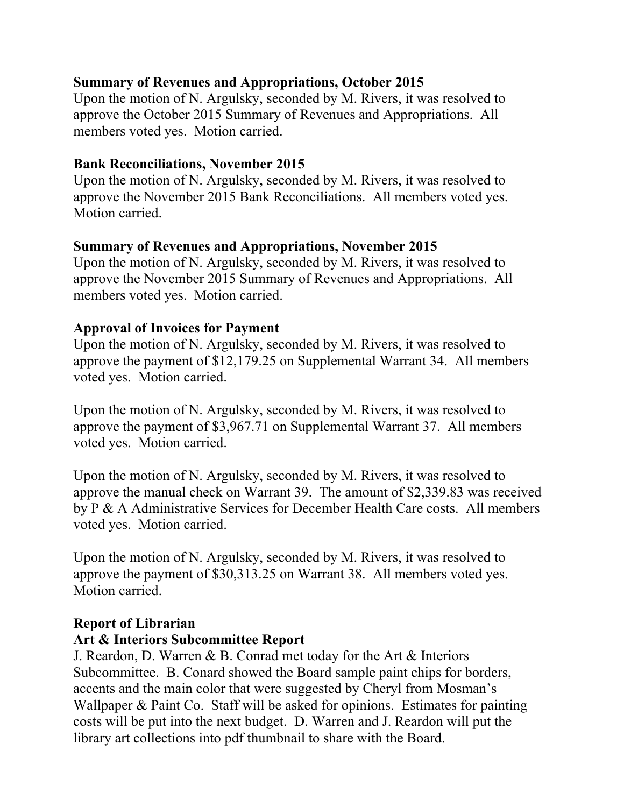# **Summary of Revenues and Appropriations, October 2015**

Upon the motion of N. Argulsky, seconded by M. Rivers, it was resolved to approve the October 2015 Summary of Revenues and Appropriations. All members voted yes. Motion carried.

### **Bank Reconciliations, November 2015**

Upon the motion of N. Argulsky, seconded by M. Rivers, it was resolved to approve the November 2015 Bank Reconciliations. All members voted yes. Motion carried.

### **Summary of Revenues and Appropriations, November 2015**

Upon the motion of N. Argulsky, seconded by M. Rivers, it was resolved to approve the November 2015 Summary of Revenues and Appropriations. All members voted yes. Motion carried.

### **Approval of Invoices for Payment**

Upon the motion of N. Argulsky, seconded by M. Rivers, it was resolved to approve the payment of \$12,179.25 on Supplemental Warrant 34. All members voted yes. Motion carried.

Upon the motion of N. Argulsky, seconded by M. Rivers, it was resolved to approve the payment of \$3,967.71 on Supplemental Warrant 37. All members voted yes. Motion carried.

Upon the motion of N. Argulsky, seconded by M. Rivers, it was resolved to approve the manual check on Warrant 39. The amount of \$2,339.83 was received by P & A Administrative Services for December Health Care costs. All members voted yes. Motion carried.

Upon the motion of N. Argulsky, seconded by M. Rivers, it was resolved to approve the payment of \$30,313.25 on Warrant 38. All members voted yes. Motion carried.

### **Report of Librarian**

#### **Art & Interiors Subcommittee Report**

J. Reardon, D. Warren & B. Conrad met today for the Art & Interiors Subcommittee. B. Conard showed the Board sample paint chips for borders, accents and the main color that were suggested by Cheryl from Mosman's Wallpaper & Paint Co. Staff will be asked for opinions. Estimates for painting costs will be put into the next budget. D. Warren and J. Reardon will put the library art collections into pdf thumbnail to share with the Board.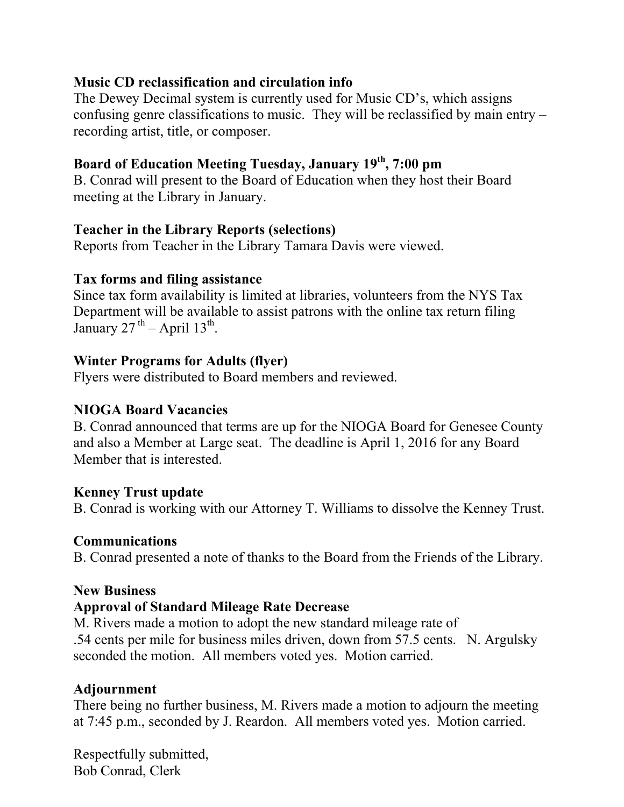#### **Music CD reclassification and circulation info**

The Dewey Decimal system is currently used for Music CD's, which assigns confusing genre classifications to music. They will be reclassified by main entry – recording artist, title, or composer.

### **Board of Education Meeting Tuesday, January 19th, 7:00 pm**

B. Conrad will present to the Board of Education when they host their Board meeting at the Library in January.

#### **Teacher in the Library Reports (selections)**

Reports from Teacher in the Library Tamara Davis were viewed.

#### **Tax forms and filing assistance**

Since tax form availability is limited at libraries, volunteers from the NYS Tax Department will be available to assist patrons with the online tax return filing January  $27^{th}$  – April  $13^{th}$ .

### **Winter Programs for Adults (flyer)**

Flyers were distributed to Board members and reviewed.

#### **NIOGA Board Vacancies**

B. Conrad announced that terms are up for the NIOGA Board for Genesee County and also a Member at Large seat. The deadline is April 1, 2016 for any Board Member that is interested.

### **Kenney Trust update**

B. Conrad is working with our Attorney T. Williams to dissolve the Kenney Trust.

#### **Communications**

B. Conrad presented a note of thanks to the Board from the Friends of the Library.

#### **New Business**

### **Approval of Standard Mileage Rate Decrease**

M. Rivers made a motion to adopt the new standard mileage rate of .54 cents per mile for business miles driven, down from 57.5 cents. N. Argulsky seconded the motion. All members voted yes. Motion carried.

### **Adjournment**

There being no further business, M. Rivers made a motion to adjourn the meeting at 7:45 p.m., seconded by J. Reardon. All members voted yes. Motion carried.

Respectfully submitted, Bob Conrad, Clerk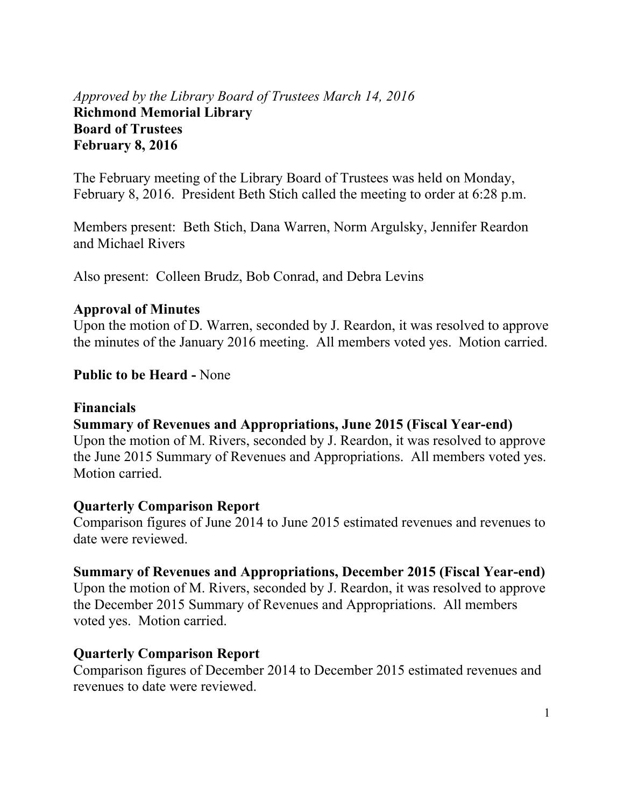#### *Approved by the Library Board of Trustees March 14, 2016* **Richmond Memorial Library Board of Trustees February 8, 2016**

The February meeting of the Library Board of Trustees was held on Monday, February 8, 2016. President Beth Stich called the meeting to order at 6:28 p.m.

Members present: Beth Stich, Dana Warren, Norm Argulsky, Jennifer Reardon and Michael Rivers

Also present: Colleen Brudz, Bob Conrad, and Debra Levins

#### **Approval of Minutes**

Upon the motion of D. Warren, seconded by J. Reardon, it was resolved to approve the minutes of the January 2016 meeting. All members voted yes. Motion carried.

#### **Public to be Heard -** None

#### **Financials**

#### **Summary of Revenues and Appropriations, June 2015 (Fiscal Year-end)**

Upon the motion of M. Rivers, seconded by J. Reardon, it was resolved to approve the June 2015 Summary of Revenues and Appropriations. All members voted yes. Motion carried.

#### **Quarterly Comparison Report**

Comparison figures of June 2014 to June 2015 estimated revenues and revenues to date were reviewed.

#### **Summary of Revenues and Appropriations, December 2015 (Fiscal Year-end)**

Upon the motion of M. Rivers, seconded by J. Reardon, it was resolved to approve the December 2015 Summary of Revenues and Appropriations. All members voted yes. Motion carried.

#### **Quarterly Comparison Report**

Comparison figures of December 2014 to December 2015 estimated revenues and revenues to date were reviewed.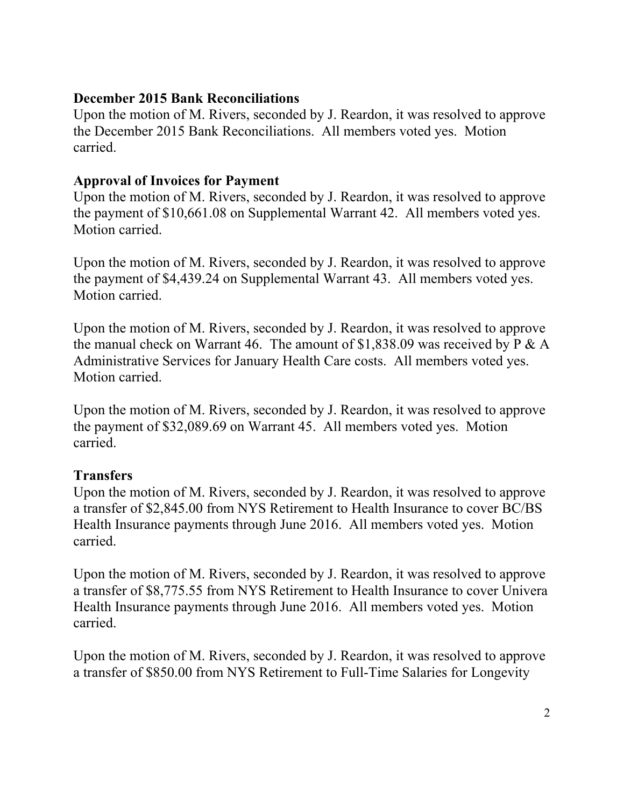#### **December 2015 Bank Reconciliations**

Upon the motion of M. Rivers, seconded by J. Reardon, it was resolved to approve the December 2015 Bank Reconciliations. All members voted yes. Motion carried.

### **Approval of Invoices for Payment**

Upon the motion of M. Rivers, seconded by J. Reardon, it was resolved to approve the payment of \$10,661.08 on Supplemental Warrant 42. All members voted yes. Motion carried.

Upon the motion of M. Rivers, seconded by J. Reardon, it was resolved to approve the payment of \$4,439.24 on Supplemental Warrant 43. All members voted yes. Motion carried.

Upon the motion of M. Rivers, seconded by J. Reardon, it was resolved to approve the manual check on Warrant 46. The amount of  $$1,838.09$  was received by P & A Administrative Services for January Health Care costs. All members voted yes. Motion carried.

Upon the motion of M. Rivers, seconded by J. Reardon, it was resolved to approve the payment of \$32,089.69 on Warrant 45. All members voted yes. Motion carried.

### **Transfers**

Upon the motion of M. Rivers, seconded by J. Reardon, it was resolved to approve a transfer of \$2,845.00 from NYS Retirement to Health Insurance to cover BC/BS Health Insurance payments through June 2016. All members voted yes. Motion carried.

Upon the motion of M. Rivers, seconded by J. Reardon, it was resolved to approve a transfer of \$8,775.55 from NYS Retirement to Health Insurance to cover Univera Health Insurance payments through June 2016. All members voted yes. Motion carried.

Upon the motion of M. Rivers, seconded by J. Reardon, it was resolved to approve a transfer of \$850.00 from NYS Retirement to Full-Time Salaries for Longevity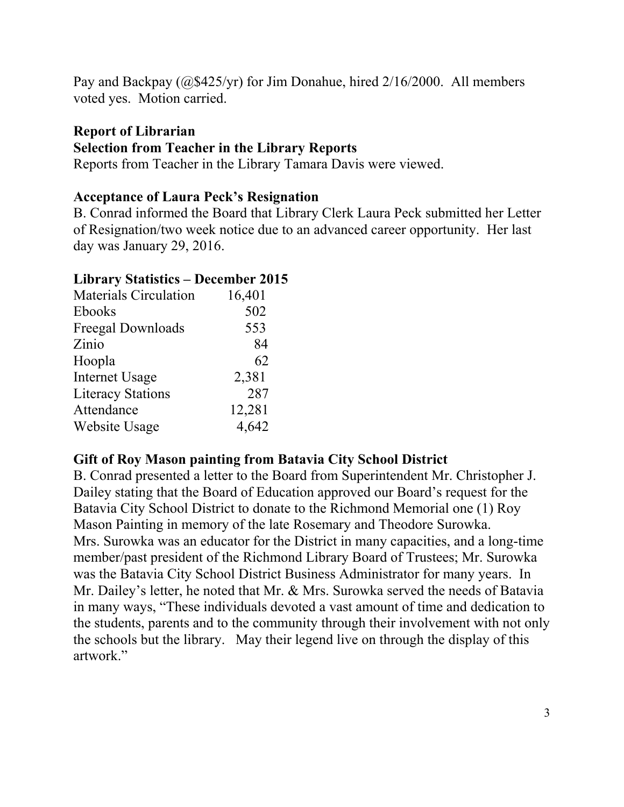Pay and Backpay (@\$425/yr) for Jim Donahue, hired 2/16/2000. All members voted yes. Motion carried.

# **Report of Librarian Selection from Teacher in the Library Reports**

Reports from Teacher in the Library Tamara Davis were viewed.

### **Acceptance of Laura Peck's Resignation**

B. Conrad informed the Board that Library Clerk Laura Peck submitted her Letter of Resignation/two week notice due to an advanced career opportunity. Her last day was January 29, 2016.

#### **Library Statistics – December 2015**

| <b>Materials Circulation</b> | 16,401 |
|------------------------------|--------|
| <b>Ebooks</b>                | 502    |
| Freegal Downloads            | 553    |
| Zinio                        | 84     |
| Hoopla                       | 62     |
| <b>Internet Usage</b>        | 2,381  |
| <b>Literacy Stations</b>     | 287    |
| Attendance                   | 12,281 |
| Website Usage                | 4,642  |

### **Gift of Roy Mason painting from Batavia City School District**

B. Conrad presented a letter to the Board from Superintendent Mr. Christopher J. Dailey stating that the Board of Education approved our Board's request for the Batavia City School District to donate to the Richmond Memorial one (1) Roy Mason Painting in memory of the late Rosemary and Theodore Surowka. Mrs. Surowka was an educator for the District in many capacities, and a long-time member/past president of the Richmond Library Board of Trustees; Mr. Surowka was the Batavia City School District Business Administrator for many years. In Mr. Dailey's letter, he noted that Mr. & Mrs. Surowka served the needs of Batavia in many ways, "These individuals devoted a vast amount of time and dedication to the students, parents and to the community through their involvement with not only the schools but the library. May their legend live on through the display of this artwork."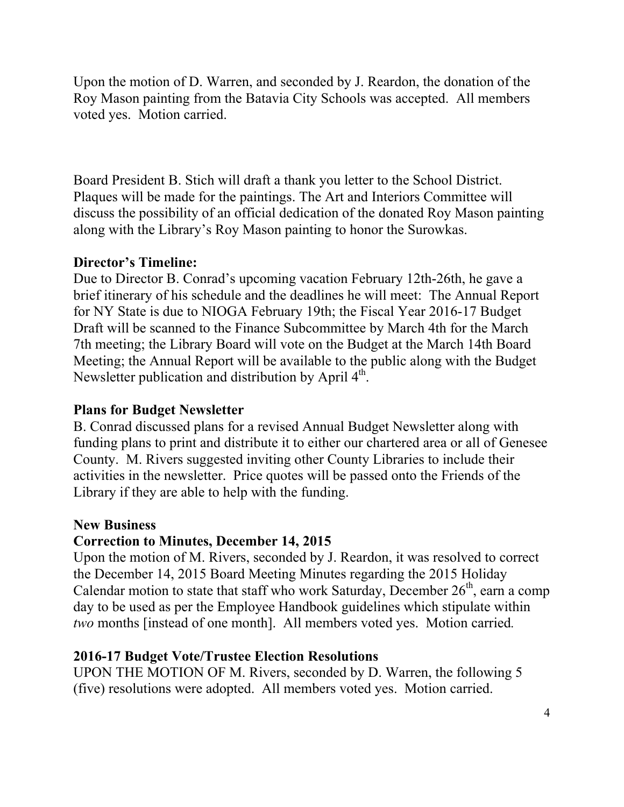Upon the motion of D. Warren, and seconded by J. Reardon, the donation of the Roy Mason painting from the Batavia City Schools was accepted. All members voted yes. Motion carried.

Board President B. Stich will draft a thank you letter to the School District. Plaques will be made for the paintings. The Art and Interiors Committee will discuss the possibility of an official dedication of the donated Roy Mason painting along with the Library's Roy Mason painting to honor the Surowkas.

### **Director's Timeline:**

Due to Director B. Conrad's upcoming vacation February 12th-26th, he gave a brief itinerary of his schedule and the deadlines he will meet: The Annual Report for NY State is due to NIOGA February 19th; the Fiscal Year 2016-17 Budget Draft will be scanned to the Finance Subcommittee by March 4th for the March 7th meeting; the Library Board will vote on the Budget at the March 14th Board Meeting; the Annual Report will be available to the public along with the Budget Newsletter publication and distribution by April  $4<sup>th</sup>$ .

#### **Plans for Budget Newsletter**

B. Conrad discussed plans for a revised Annual Budget Newsletter along with funding plans to print and distribute it to either our chartered area or all of Genesee County. M. Rivers suggested inviting other County Libraries to include their activities in the newsletter. Price quotes will be passed onto the Friends of the Library if they are able to help with the funding.

#### **New Business**

#### **Correction to Minutes, December 14, 2015**

Upon the motion of M. Rivers, seconded by J. Reardon, it was resolved to correct the December 14, 2015 Board Meeting Minutes regarding the 2015 Holiday Calendar motion to state that staff who work Saturday, December  $26<sup>th</sup>$ , earn a comp day to be used as per the Employee Handbook guidelines which stipulate within *two* months [instead of one month]. All members voted yes. Motion carried*.*

#### **2016-17 Budget Vote/Trustee Election Resolutions**

UPON THE MOTION OF M. Rivers, seconded by D. Warren, the following 5 (five) resolutions were adopted. All members voted yes. Motion carried.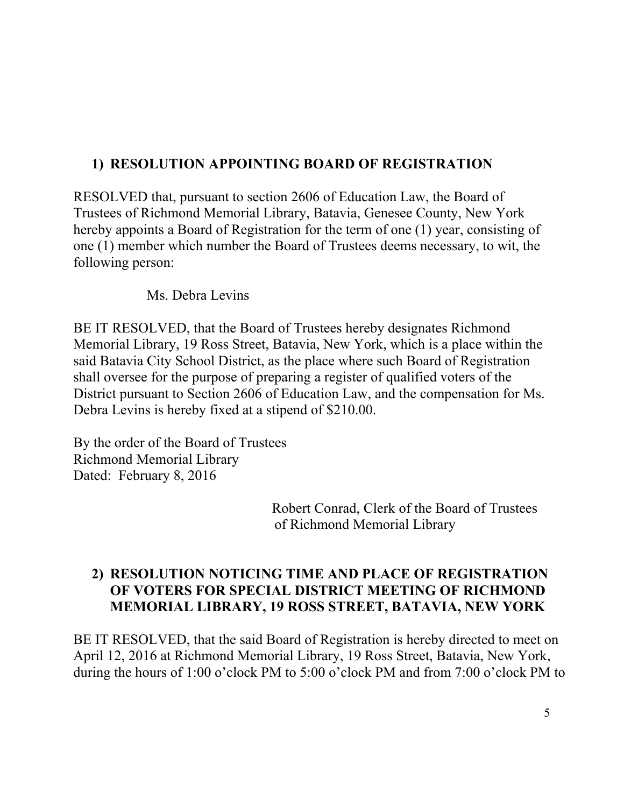# **1) RESOLUTION APPOINTING BOARD OF REGISTRATION**

RESOLVED that, pursuant to section 2606 of Education Law, the Board of Trustees of Richmond Memorial Library, Batavia, Genesee County, New York hereby appoints a Board of Registration for the term of one (1) year, consisting of one (1) member which number the Board of Trustees deems necessary, to wit, the following person:

Ms. Debra Levins

BE IT RESOLVED, that the Board of Trustees hereby designates Richmond Memorial Library, 19 Ross Street, Batavia, New York, which is a place within the said Batavia City School District, as the place where such Board of Registration shall oversee for the purpose of preparing a register of qualified voters of the District pursuant to Section 2606 of Education Law, and the compensation for Ms. Debra Levins is hereby fixed at a stipend of \$210.00.

By the order of the Board of Trustees Richmond Memorial Library Dated: February 8, 2016

> Robert Conrad, Clerk of the Board of Trustees of Richmond Memorial Library

### **2) RESOLUTION NOTICING TIME AND PLACE OF REGISTRATION OF VOTERS FOR SPECIAL DISTRICT MEETING OF RICHMOND MEMORIAL LIBRARY, 19 ROSS STREET, BATAVIA, NEW YORK**

BE IT RESOLVED, that the said Board of Registration is hereby directed to meet on April 12, 2016 at Richmond Memorial Library, 19 Ross Street, Batavia, New York, during the hours of 1:00 o'clock PM to 5:00 o'clock PM and from 7:00 o'clock PM to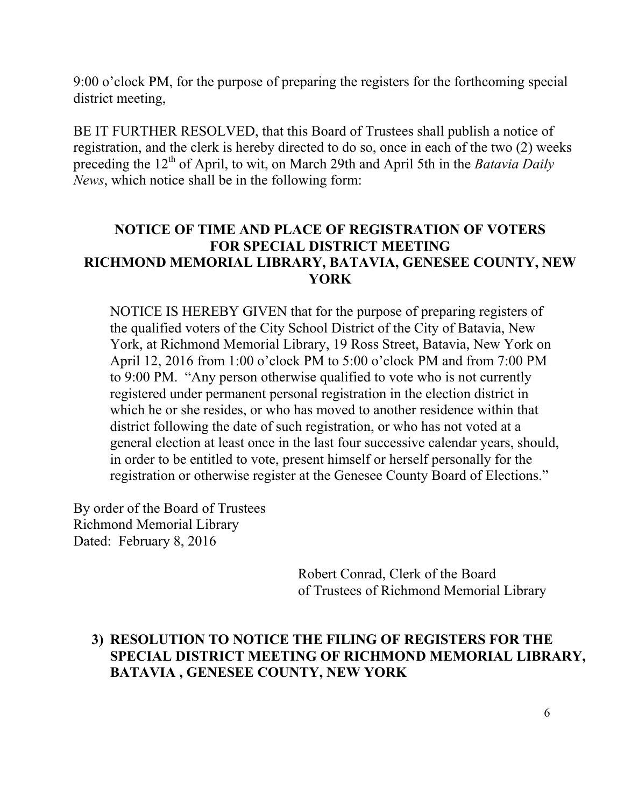9:00 o'clock PM, for the purpose of preparing the registers for the forthcoming special district meeting,

BE IT FURTHER RESOLVED, that this Board of Trustees shall publish a notice of registration, and the clerk is hereby directed to do so, once in each of the two (2) weeks preceding the 12<sup>th</sup> of April, to wit, on March 29th and April 5th in the *Batavia Daily News*, which notice shall be in the following form:

#### **NOTICE OF TIME AND PLACE OF REGISTRATION OF VOTERS FOR SPECIAL DISTRICT MEETING RICHMOND MEMORIAL LIBRARY, BATAVIA, GENESEE COUNTY, NEW YORK**

NOTICE IS HEREBY GIVEN that for the purpose of preparing registers of the qualified voters of the City School District of the City of Batavia, New York, at Richmond Memorial Library, 19 Ross Street, Batavia, New York on April 12, 2016 from 1:00 o'clock PM to 5:00 o'clock PM and from 7:00 PM to 9:00 PM. "Any person otherwise qualified to vote who is not currently registered under permanent personal registration in the election district in which he or she resides, or who has moved to another residence within that district following the date of such registration, or who has not voted at a general election at least once in the last four successive calendar years, should, in order to be entitled to vote, present himself or herself personally for the registration or otherwise register at the Genesee County Board of Elections."

By order of the Board of Trustees Richmond Memorial Library Dated: February 8, 2016

> Robert Conrad, Clerk of the Board of Trustees of Richmond Memorial Library

#### **3) RESOLUTION TO NOTICE THE FILING OF REGISTERS FOR THE SPECIAL DISTRICT MEETING OF RICHMOND MEMORIAL LIBRARY, BATAVIA , GENESEE COUNTY, NEW YORK**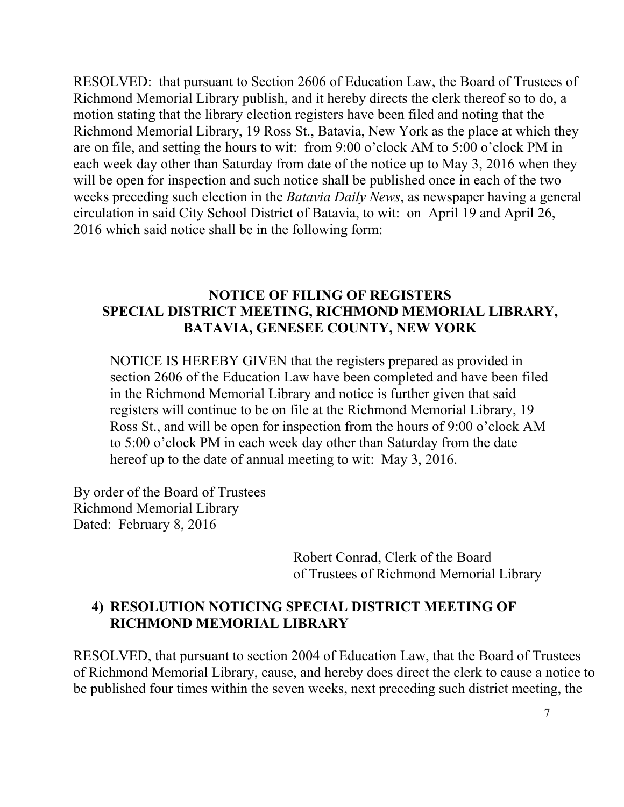RESOLVED: that pursuant to Section 2606 of Education Law, the Board of Trustees of Richmond Memorial Library publish, and it hereby directs the clerk thereof so to do, a motion stating that the library election registers have been filed and noting that the Richmond Memorial Library, 19 Ross St., Batavia, New York as the place at which they are on file, and setting the hours to wit: from 9:00 o'clock AM to 5:00 o'clock PM in each week day other than Saturday from date of the notice up to May 3, 2016 when they will be open for inspection and such notice shall be published once in each of the two weeks preceding such election in the *Batavia Daily News*, as newspaper having a general circulation in said City School District of Batavia, to wit: on April 19 and April 26, 2016 which said notice shall be in the following form:

#### **NOTICE OF FILING OF REGISTERS SPECIAL DISTRICT MEETING, RICHMOND MEMORIAL LIBRARY, BATAVIA, GENESEE COUNTY, NEW YORK**

NOTICE IS HEREBY GIVEN that the registers prepared as provided in section 2606 of the Education Law have been completed and have been filed in the Richmond Memorial Library and notice is further given that said registers will continue to be on file at the Richmond Memorial Library, 19 Ross St., and will be open for inspection from the hours of 9:00 o'clock AM to 5:00 o'clock PM in each week day other than Saturday from the date hereof up to the date of annual meeting to wit: May 3, 2016.

By order of the Board of Trustees Richmond Memorial Library Dated: February 8, 2016

> Robert Conrad, Clerk of the Board of Trustees of Richmond Memorial Library

### **4) RESOLUTION NOTICING SPECIAL DISTRICT MEETING OF RICHMOND MEMORIAL LIBRARY**

RESOLVED, that pursuant to section 2004 of Education Law, that the Board of Trustees of Richmond Memorial Library, cause, and hereby does direct the clerk to cause a notice to be published four times within the seven weeks, next preceding such district meeting, the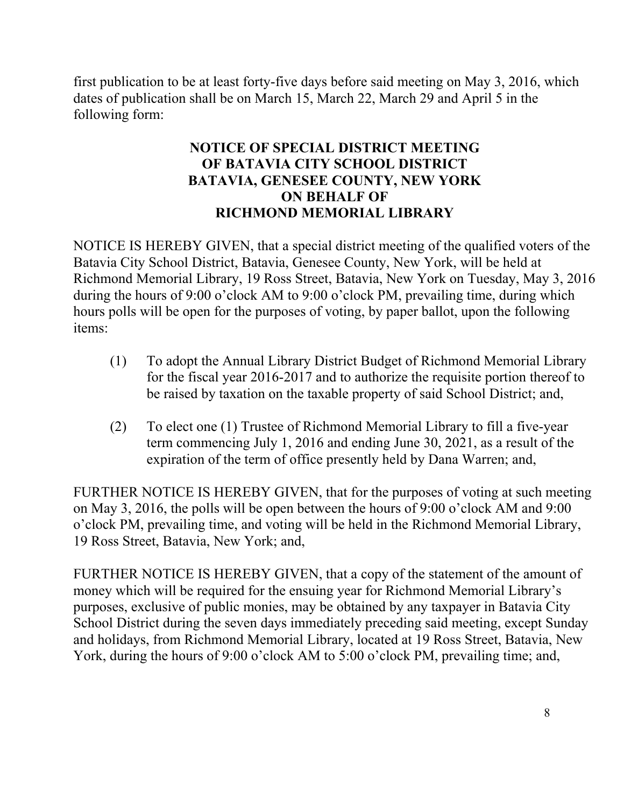first publication to be at least forty-five days before said meeting on May 3, 2016, which dates of publication shall be on March 15, March 22, March 29 and April 5 in the following form:

### **NOTICE OF SPECIAL DISTRICT MEETING OF BATAVIA CITY SCHOOL DISTRICT BATAVIA, GENESEE COUNTY, NEW YORK ON BEHALF OF RICHMOND MEMORIAL LIBRARY**

NOTICE IS HEREBY GIVEN, that a special district meeting of the qualified voters of the Batavia City School District, Batavia, Genesee County, New York, will be held at Richmond Memorial Library, 19 Ross Street, Batavia, New York on Tuesday, May 3, 2016 during the hours of 9:00 o'clock AM to 9:00 o'clock PM, prevailing time, during which hours polls will be open for the purposes of voting, by paper ballot, upon the following items:

- (1) To adopt the Annual Library District Budget of Richmond Memorial Library for the fiscal year 2016-2017 and to authorize the requisite portion thereof to be raised by taxation on the taxable property of said School District; and,
- (2) To elect one (1) Trustee of Richmond Memorial Library to fill a five-year term commencing July 1, 2016 and ending June 30, 2021, as a result of the expiration of the term of office presently held by Dana Warren; and,

FURTHER NOTICE IS HEREBY GIVEN, that for the purposes of voting at such meeting on May 3, 2016, the polls will be open between the hours of 9:00 o'clock AM and 9:00 o'clock PM, prevailing time, and voting will be held in the Richmond Memorial Library, 19 Ross Street, Batavia, New York; and,

FURTHER NOTICE IS HEREBY GIVEN, that a copy of the statement of the amount of money which will be required for the ensuing year for Richmond Memorial Library's purposes, exclusive of public monies, may be obtained by any taxpayer in Batavia City School District during the seven days immediately preceding said meeting, except Sunday and holidays, from Richmond Memorial Library, located at 19 Ross Street, Batavia, New York, during the hours of 9:00 o'clock AM to 5:00 o'clock PM, prevailing time; and,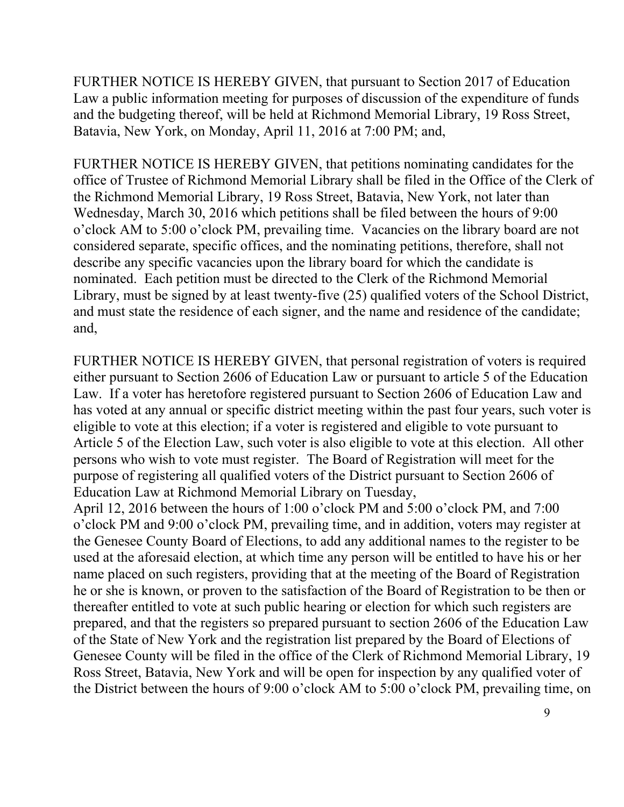FURTHER NOTICE IS HEREBY GIVEN, that pursuant to Section 2017 of Education Law a public information meeting for purposes of discussion of the expenditure of funds and the budgeting thereof, will be held at Richmond Memorial Library, 19 Ross Street, Batavia, New York, on Monday, April 11, 2016 at 7:00 PM; and,

FURTHER NOTICE IS HEREBY GIVEN, that petitions nominating candidates for the office of Trustee of Richmond Memorial Library shall be filed in the Office of the Clerk of the Richmond Memorial Library, 19 Ross Street, Batavia, New York, not later than Wednesday, March 30, 2016 which petitions shall be filed between the hours of 9:00 o'clock AM to 5:00 o'clock PM, prevailing time. Vacancies on the library board are not considered separate, specific offices, and the nominating petitions, therefore, shall not describe any specific vacancies upon the library board for which the candidate is nominated. Each petition must be directed to the Clerk of the Richmond Memorial Library, must be signed by at least twenty-five (25) qualified voters of the School District, and must state the residence of each signer, and the name and residence of the candidate; and,

FURTHER NOTICE IS HEREBY GIVEN, that personal registration of voters is required either pursuant to Section 2606 of Education Law or pursuant to article 5 of the Education Law. If a voter has heretofore registered pursuant to Section 2606 of Education Law and has voted at any annual or specific district meeting within the past four years, such voter is eligible to vote at this election; if a voter is registered and eligible to vote pursuant to Article 5 of the Election Law, such voter is also eligible to vote at this election. All other persons who wish to vote must register. The Board of Registration will meet for the purpose of registering all qualified voters of the District pursuant to Section 2606 of Education Law at Richmond Memorial Library on Tuesday,

April 12, 2016 between the hours of 1:00 o'clock PM and 5:00 o'clock PM, and 7:00 o'clock PM and 9:00 o'clock PM, prevailing time, and in addition, voters may register at the Genesee County Board of Elections, to add any additional names to the register to be used at the aforesaid election, at which time any person will be entitled to have his or her name placed on such registers, providing that at the meeting of the Board of Registration he or she is known, or proven to the satisfaction of the Board of Registration to be then or thereafter entitled to vote at such public hearing or election for which such registers are prepared, and that the registers so prepared pursuant to section 2606 of the Education Law of the State of New York and the registration list prepared by the Board of Elections of Genesee County will be filed in the office of the Clerk of Richmond Memorial Library, 19 Ross Street, Batavia, New York and will be open for inspection by any qualified voter of the District between the hours of 9:00 o'clock AM to 5:00 o'clock PM, prevailing time, on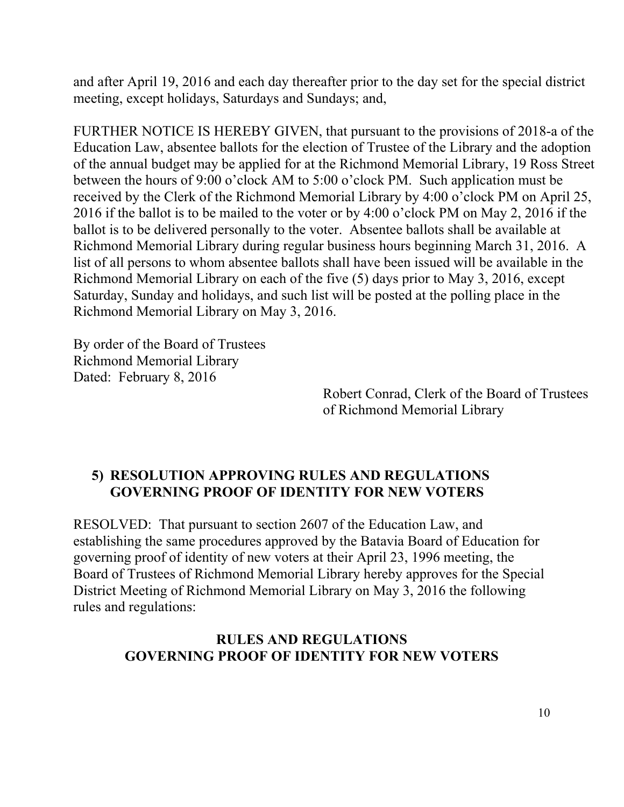and after April 19, 2016 and each day thereafter prior to the day set for the special district meeting, except holidays, Saturdays and Sundays; and,

FURTHER NOTICE IS HEREBY GIVEN, that pursuant to the provisions of 2018-a of the Education Law, absentee ballots for the election of Trustee of the Library and the adoption of the annual budget may be applied for at the Richmond Memorial Library, 19 Ross Street between the hours of 9:00 o'clock AM to 5:00 o'clock PM. Such application must be received by the Clerk of the Richmond Memorial Library by 4:00 o'clock PM on April 25, 2016 if the ballot is to be mailed to the voter or by 4:00 o'clock PM on May 2, 2016 if the ballot is to be delivered personally to the voter. Absentee ballots shall be available at Richmond Memorial Library during regular business hours beginning March 31, 2016. A list of all persons to whom absentee ballots shall have been issued will be available in the Richmond Memorial Library on each of the five (5) days prior to May 3, 2016, except Saturday, Sunday and holidays, and such list will be posted at the polling place in the Richmond Memorial Library on May 3, 2016.

By order of the Board of Trustees Richmond Memorial Library Dated: February 8, 2016

> Robert Conrad, Clerk of the Board of Trustees of Richmond Memorial Library

### **5) RESOLUTION APPROVING RULES AND REGULATIONS GOVERNING PROOF OF IDENTITY FOR NEW VOTERS**

RESOLVED: That pursuant to section 2607 of the Education Law, and establishing the same procedures approved by the Batavia Board of Education for governing proof of identity of new voters at their April 23, 1996 meeting, the Board of Trustees of Richmond Memorial Library hereby approves for the Special District Meeting of Richmond Memorial Library on May 3, 2016 the following rules and regulations:

#### **RULES AND REGULATIONS GOVERNING PROOF OF IDENTITY FOR NEW VOTERS**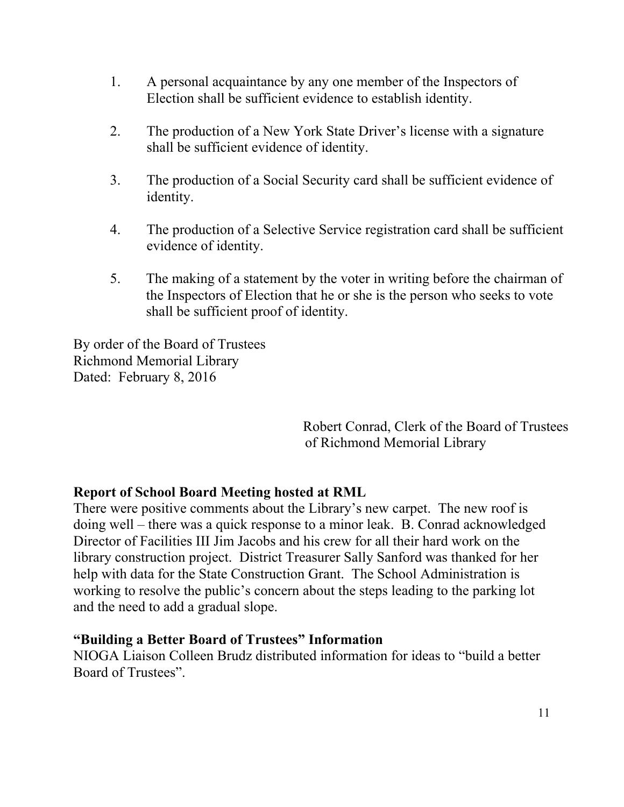- 1. A personal acquaintance by any one member of the Inspectors of Election shall be sufficient evidence to establish identity.
- 2. The production of a New York State Driver's license with a signature shall be sufficient evidence of identity.
- 3. The production of a Social Security card shall be sufficient evidence of identity.
- 4. The production of a Selective Service registration card shall be sufficient evidence of identity.
- 5. The making of a statement by the voter in writing before the chairman of the Inspectors of Election that he or she is the person who seeks to vote shall be sufficient proof of identity.

By order of the Board of Trustees Richmond Memorial Library Dated: February 8, 2016

> Robert Conrad, Clerk of the Board of Trustees of Richmond Memorial Library

### **Report of School Board Meeting hosted at RML**

There were positive comments about the Library's new carpet. The new roof is doing well – there was a quick response to a minor leak. B. Conrad acknowledged Director of Facilities III Jim Jacobs and his crew for all their hard work on the library construction project. District Treasurer Sally Sanford was thanked for her help with data for the State Construction Grant. The School Administration is working to resolve the public's concern about the steps leading to the parking lot and the need to add a gradual slope.

#### **"Building a Better Board of Trustees" Information**

NIOGA Liaison Colleen Brudz distributed information for ideas to "build a better Board of Trustees".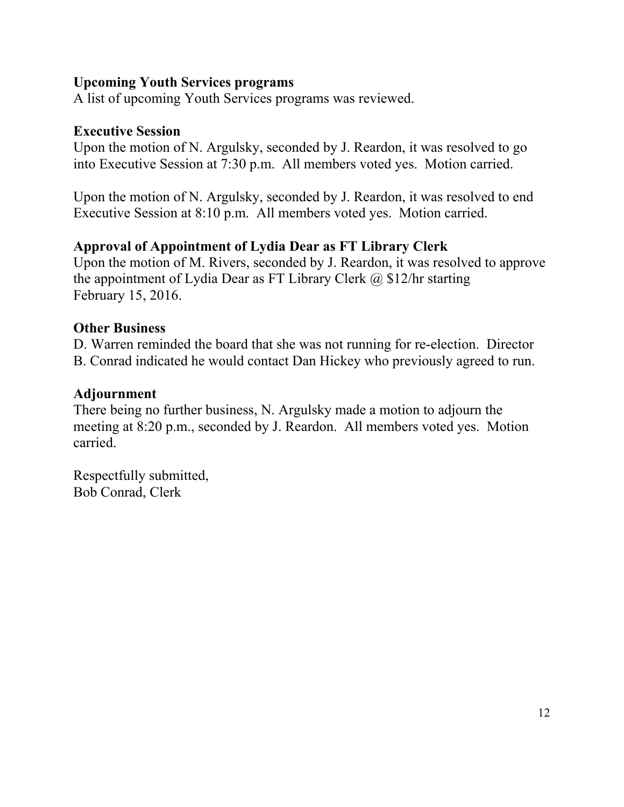#### **Upcoming Youth Services programs**

A list of upcoming Youth Services programs was reviewed.

#### **Executive Session**

Upon the motion of N. Argulsky, seconded by J. Reardon, it was resolved to go into Executive Session at 7:30 p.m. All members voted yes. Motion carried.

Upon the motion of N. Argulsky, seconded by J. Reardon, it was resolved to end Executive Session at 8:10 p.m. All members voted yes. Motion carried.

# **Approval of Appointment of Lydia Dear as FT Library Clerk**

Upon the motion of M. Rivers, seconded by J. Reardon, it was resolved to approve the appointment of Lydia Dear as FT Library Clerk  $\omega$  \$12/hr starting February 15, 2016.

### **Other Business**

D. Warren reminded the board that she was not running for re-election. Director B. Conrad indicated he would contact Dan Hickey who previously agreed to run.

### **Adjournment**

There being no further business, N. Argulsky made a motion to adjourn the meeting at 8:20 p.m., seconded by J. Reardon. All members voted yes. Motion carried.

Respectfully submitted, Bob Conrad, Clerk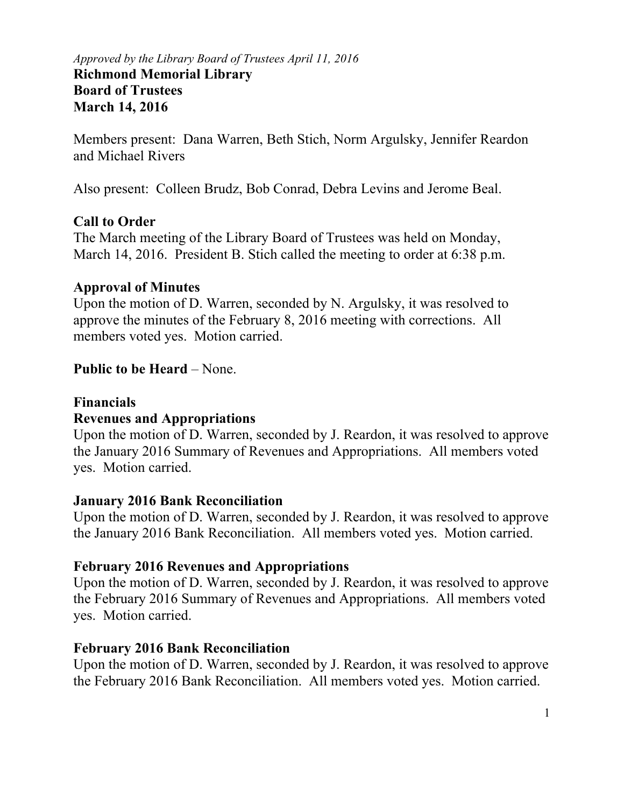#### *Approved by the Library Board of Trustees April 11, 2016*  **Richmond Memorial Library Board of Trustees March 14, 2016**

Members present: Dana Warren, Beth Stich, Norm Argulsky, Jennifer Reardon and Michael Rivers

Also present: Colleen Brudz, Bob Conrad, Debra Levins and Jerome Beal.

#### **Call to Order**

The March meeting of the Library Board of Trustees was held on Monday, March 14, 2016. President B. Stich called the meeting to order at 6:38 p.m.

#### **Approval of Minutes**

Upon the motion of D. Warren, seconded by N. Argulsky, it was resolved to approve the minutes of the February 8, 2016 meeting with corrections. All members voted yes. Motion carried.

#### **Public to be Heard – None.**

#### **Financials**

#### **Revenues and Appropriations**

Upon the motion of D. Warren, seconded by J. Reardon, it was resolved to approve the January 2016 Summary of Revenues and Appropriations. All members voted yes. Motion carried.

#### **January 2016 Bank Reconciliation**

Upon the motion of D. Warren, seconded by J. Reardon, it was resolved to approve the January 2016 Bank Reconciliation. All members voted yes. Motion carried.

#### **February 2016 Revenues and Appropriations**

Upon the motion of D. Warren, seconded by J. Reardon, it was resolved to approve the February 2016 Summary of Revenues and Appropriations. All members voted yes. Motion carried.

#### **February 2016 Bank Reconciliation**

Upon the motion of D. Warren, seconded by J. Reardon, it was resolved to approve the February 2016 Bank Reconciliation. All members voted yes. Motion carried.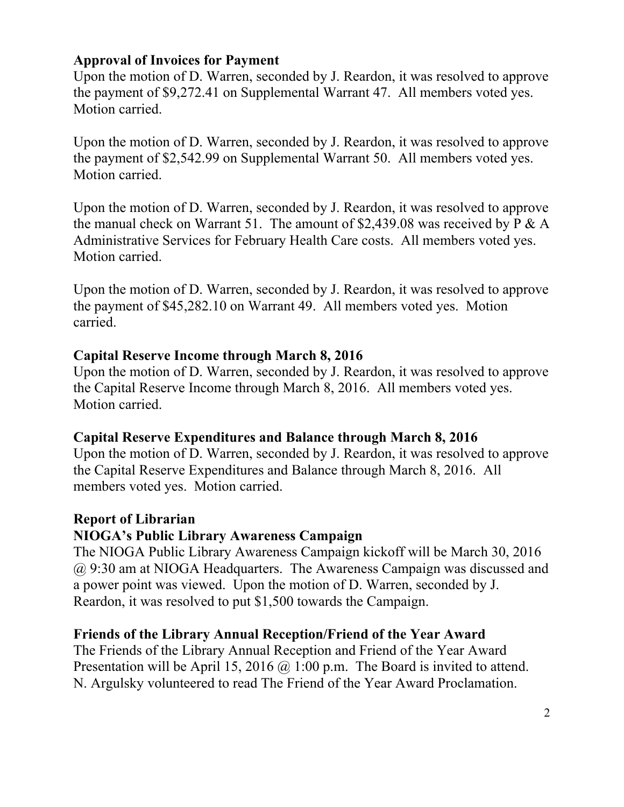#### **Approval of Invoices for Payment**

Upon the motion of D. Warren, seconded by J. Reardon, it was resolved to approve the payment of \$9,272.41 on Supplemental Warrant 47. All members voted yes. Motion carried.

Upon the motion of D. Warren, seconded by J. Reardon, it was resolved to approve the payment of \$2,542.99 on Supplemental Warrant 50. All members voted yes. Motion carried.

Upon the motion of D. Warren, seconded by J. Reardon, it was resolved to approve the manual check on Warrant 51. The amount of \$2,439.08 was received by  $P \& A$ Administrative Services for February Health Care costs. All members voted yes. Motion carried.

Upon the motion of D. Warren, seconded by J. Reardon, it was resolved to approve the payment of \$45,282.10 on Warrant 49. All members voted yes. Motion carried.

### **Capital Reserve Income through March 8, 2016**

Upon the motion of D. Warren, seconded by J. Reardon, it was resolved to approve the Capital Reserve Income through March 8, 2016. All members voted yes. Motion carried.

### **Capital Reserve Expenditures and Balance through March 8, 2016**

Upon the motion of D. Warren, seconded by J. Reardon, it was resolved to approve the Capital Reserve Expenditures and Balance through March 8, 2016. All members voted yes. Motion carried.

# **Report of Librarian**

### **NIOGA's Public Library Awareness Campaign**

The NIOGA Public Library Awareness Campaign kickoff will be March 30, 2016 @ 9:30 am at NIOGA Headquarters. The Awareness Campaign was discussed and a power point was viewed. Upon the motion of D. Warren, seconded by J. Reardon, it was resolved to put \$1,500 towards the Campaign.

# **Friends of the Library Annual Reception/Friend of the Year Award**

The Friends of the Library Annual Reception and Friend of the Year Award Presentation will be April 15, 2016 @ 1:00 p.m. The Board is invited to attend. N. Argulsky volunteered to read The Friend of the Year Award Proclamation.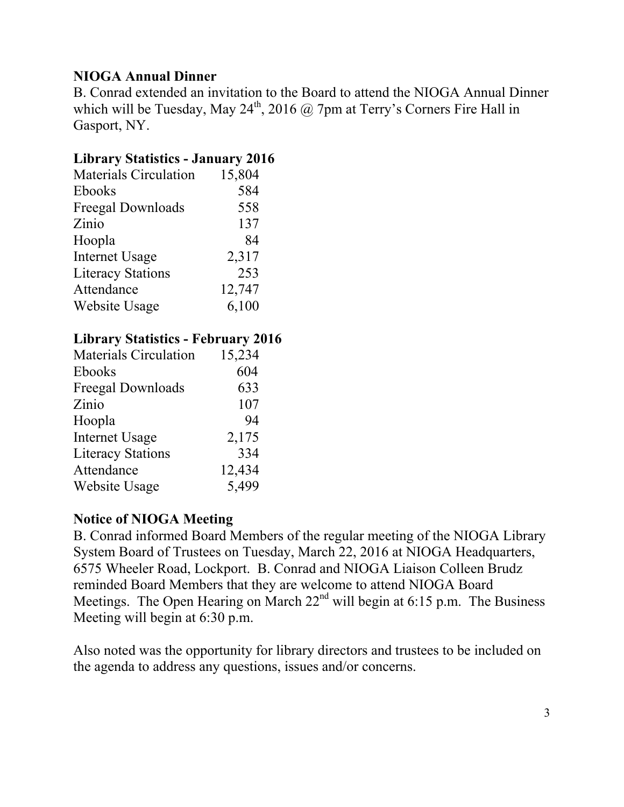# **NIOGA Annual Dinner**

B. Conrad extended an invitation to the Board to attend the NIOGA Annual Dinner which will be Tuesday, May  $24^{th}$ ,  $2016$  @ 7pm at Terry's Corners Fire Hall in Gasport, NY.

# **Library Statistics - January 2016**

| <b>Materials Circulation</b> | 15,804 |
|------------------------------|--------|
| Ebooks                       | 584    |
| Freegal Downloads            | 558    |
| Zinio                        | 137    |
| Hoopla                       | 84     |
| <b>Internet Usage</b>        | 2,317  |
| <b>Literacy Stations</b>     | 253    |
| Attendance                   | 12,747 |
| Website Usage                | 6,100  |

### **Library Statistics - February 2016**

| <b>Materials Circulation</b> | 15,234 |
|------------------------------|--------|
| <b>Ebooks</b>                | 604    |
| <b>Freegal Downloads</b>     | 633    |
| Zinio                        | 107    |
| Hoopla                       | 94     |
| <b>Internet Usage</b>        | 2,175  |
| <b>Literacy Stations</b>     | 334    |
| Attendance                   | 12,434 |
| Website Usage                | 5,499  |

### **Notice of NIOGA Meeting**

B. Conrad informed Board Members of the regular meeting of the NIOGA Library System Board of Trustees on Tuesday, March 22, 2016 at NIOGA Headquarters, 6575 Wheeler Road, Lockport. B. Conrad and NIOGA Liaison Colleen Brudz reminded Board Members that they are welcome to attend NIOGA Board Meetings. The Open Hearing on March  $22<sup>nd</sup>$  will begin at 6:15 p.m. The Business Meeting will begin at 6:30 p.m.

Also noted was the opportunity for library directors and trustees to be included on the agenda to address any questions, issues and/or concerns.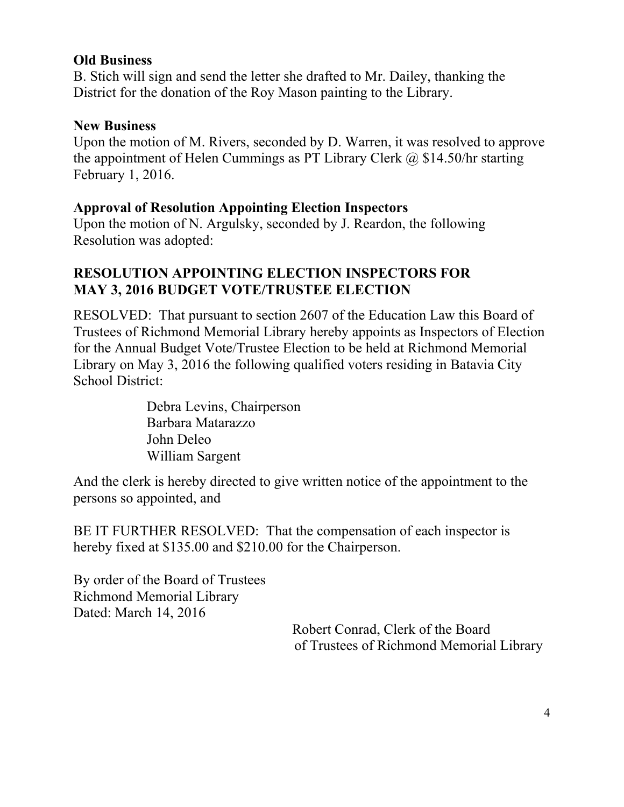#### **Old Business**

B. Stich will sign and send the letter she drafted to Mr. Dailey, thanking the District for the donation of the Roy Mason painting to the Library.

### **New Business**

Upon the motion of M. Rivers, seconded by D. Warren, it was resolved to approve the appointment of Helen Cummings as PT Library Clerk  $\omega$  \$14.50/hr starting February 1, 2016.

### **Approval of Resolution Appointing Election Inspectors**

Upon the motion of N. Argulsky, seconded by J. Reardon, the following Resolution was adopted:

# **RESOLUTION APPOINTING ELECTION INSPECTORS FOR MAY 3, 2016 BUDGET VOTE/TRUSTEE ELECTION**

RESOLVED: That pursuant to section 2607 of the Education Law this Board of Trustees of Richmond Memorial Library hereby appoints as Inspectors of Election for the Annual Budget Vote/Trustee Election to be held at Richmond Memorial Library on May 3, 2016 the following qualified voters residing in Batavia City School District:

> Debra Levins, Chairperson Barbara Matarazzo John Deleo William Sargent

And the clerk is hereby directed to give written notice of the appointment to the persons so appointed, and

BE IT FURTHER RESOLVED: That the compensation of each inspector is hereby fixed at \$135.00 and \$210.00 for the Chairperson.

By order of the Board of Trustees Richmond Memorial Library Dated: March 14, 2016

> Robert Conrad, Clerk of the Board of Trustees of Richmond Memorial Library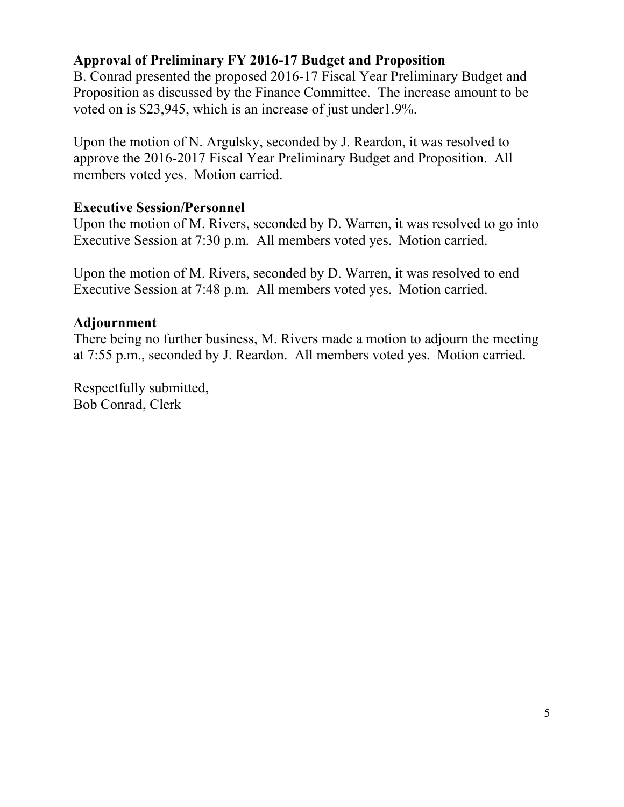### **Approval of Preliminary FY 2016-17 Budget and Proposition**

B. Conrad presented the proposed 2016-17 Fiscal Year Preliminary Budget and Proposition as discussed by the Finance Committee. The increase amount to be voted on is \$23,945, which is an increase of just under1.9%.

Upon the motion of N. Argulsky, seconded by J. Reardon, it was resolved to approve the 2016-2017 Fiscal Year Preliminary Budget and Proposition. All members voted yes. Motion carried.

#### **Executive Session/Personnel**

Upon the motion of M. Rivers, seconded by D. Warren, it was resolved to go into Executive Session at 7:30 p.m. All members voted yes. Motion carried.

Upon the motion of M. Rivers, seconded by D. Warren, it was resolved to end Executive Session at 7:48 p.m. All members voted yes. Motion carried.

#### **Adjournment**

There being no further business, M. Rivers made a motion to adjourn the meeting at 7:55 p.m., seconded by J. Reardon. All members voted yes. Motion carried.

Respectfully submitted, Bob Conrad, Clerk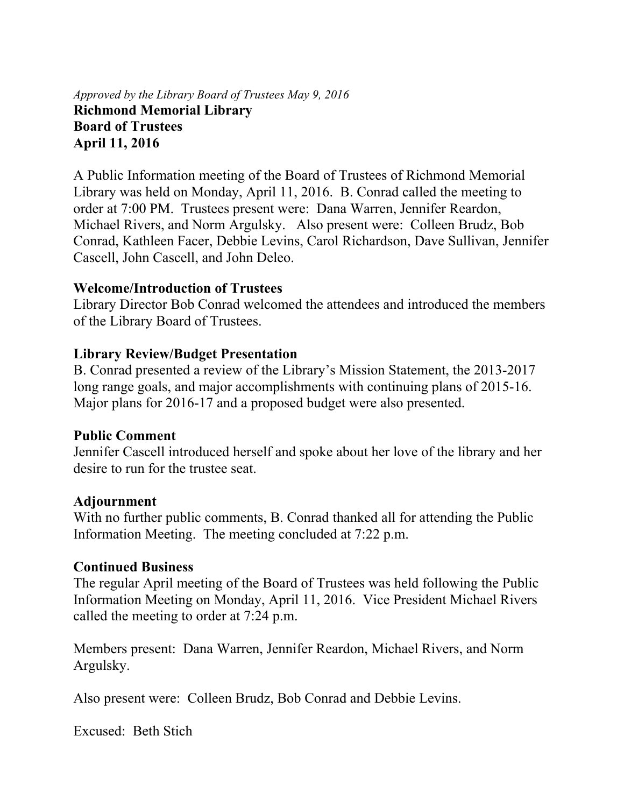#### *Approved by the Library Board of Trustees May 9, 2016* **Richmond Memorial Library Board of Trustees April 11, 2016**

A Public Information meeting of the Board of Trustees of Richmond Memorial Library was held on Monday, April 11, 2016. B. Conrad called the meeting to order at 7:00 PM. Trustees present were: Dana Warren, Jennifer Reardon, Michael Rivers, and Norm Argulsky. Also present were: Colleen Brudz, Bob Conrad, Kathleen Facer, Debbie Levins, Carol Richardson, Dave Sullivan, Jennifer Cascell, John Cascell, and John Deleo.

#### **Welcome/Introduction of Trustees**

Library Director Bob Conrad welcomed the attendees and introduced the members of the Library Board of Trustees.

#### **Library Review/Budget Presentation**

B. Conrad presented a review of the Library's Mission Statement, the 2013-2017 long range goals, and major accomplishments with continuing plans of 2015-16. Major plans for 2016-17 and a proposed budget were also presented.

#### **Public Comment**

Jennifer Cascell introduced herself and spoke about her love of the library and her desire to run for the trustee seat.

#### **Adjournment**

With no further public comments, B. Conrad thanked all for attending the Public Information Meeting. The meeting concluded at 7:22 p.m.

#### **Continued Business**

The regular April meeting of the Board of Trustees was held following the Public Information Meeting on Monday, April 11, 2016. Vice President Michael Rivers called the meeting to order at 7:24 p.m.

Members present: Dana Warren, Jennifer Reardon, Michael Rivers, and Norm Argulsky.

Also present were: Colleen Brudz, Bob Conrad and Debbie Levins.

Excused: Beth Stich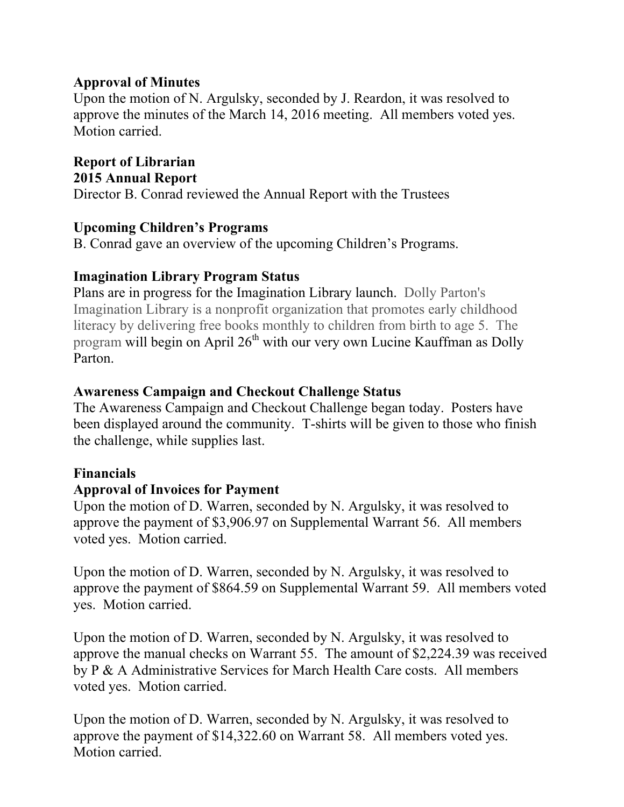#### **Approval of Minutes**

Upon the motion of N. Argulsky, seconded by J. Reardon, it was resolved to approve the minutes of the March 14, 2016 meeting. All members voted yes. Motion carried.

**Report of Librarian 2015 Annual Report** 

Director B. Conrad reviewed the Annual Report with the Trustees

#### **Upcoming Children's Programs**

B. Conrad gave an overview of the upcoming Children's Programs.

#### **Imagination Library Program Status**

Plans are in progress for the Imagination Library launch. Dolly Parton's Imagination Library is a nonprofit organization that promotes early childhood literacy by delivering free books monthly to children from birth to age 5. The program will begin on April 26<sup>th</sup> with our very own Lucine Kauffman as Dolly Parton.

#### **Awareness Campaign and Checkout Challenge Status**

The Awareness Campaign and Checkout Challenge began today. Posters have been displayed around the community. T-shirts will be given to those who finish the challenge, while supplies last.

#### **Financials**

#### **Approval of Invoices for Payment**

Upon the motion of D. Warren, seconded by N. Argulsky, it was resolved to approve the payment of \$3,906.97 on Supplemental Warrant 56. All members voted yes. Motion carried.

Upon the motion of D. Warren, seconded by N. Argulsky, it was resolved to approve the payment of \$864.59 on Supplemental Warrant 59. All members voted yes. Motion carried.

Upon the motion of D. Warren, seconded by N. Argulsky, it was resolved to approve the manual checks on Warrant 55. The amount of \$2,224.39 was received by P & A Administrative Services for March Health Care costs. All members voted yes. Motion carried.

Upon the motion of D. Warren, seconded by N. Argulsky, it was resolved to approve the payment of \$14,322.60 on Warrant 58. All members voted yes. Motion carried.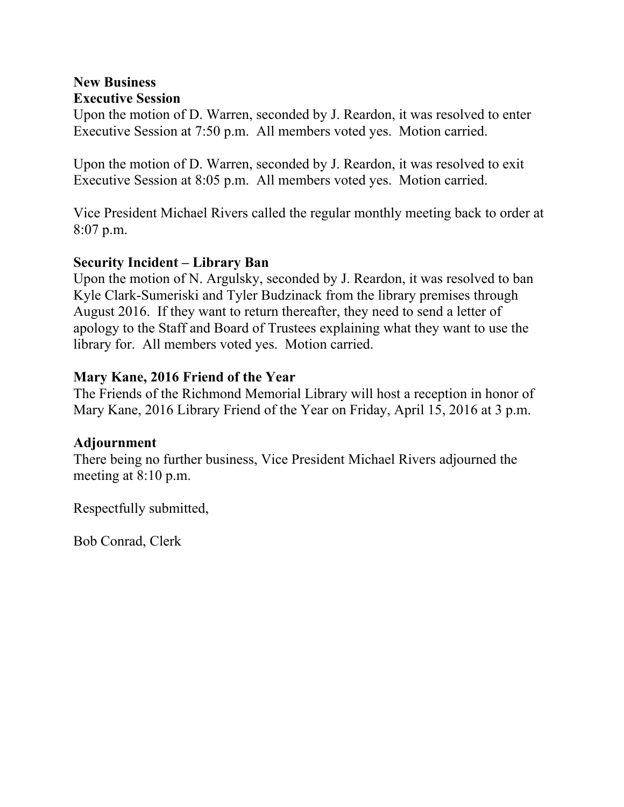#### **New Business Executive Session**

Upon the motion of D. Warren, seconded by J. Reardon, it was resolved to enter Executive Session at 7:50 p.m. All members voted yes. Motion carried.

Upon the motion of D. Warren, seconded by J. Reardon, it was resolved to exit Executive Session at 8:05 p.m. All members voted yes. Motion carried.

Vice President Michael Rivers called the regular monthly meeting back to order at 8:07 p.m.

#### **Security Incident – Library Ban**

Upon the motion of N. Argulsky, seconded by J. Reardon, it was resolved to ban Kyle Clark-Sumeriski and Tyler Budzinack from the library premises through August 2016. If they want to return thereafter, they need to send a letter of apology to the Staff and Board of Trustees explaining what they want to use the library for. All members voted yes. Motion carried.

#### **Mary Kane, 2016 Friend of the Year**

The Friends of the Richmond Memorial Library will host a reception in honor of Mary Kane, 2016 Library Friend of the Year on Friday, April 15, 2016 at 3 p.m.

### **Adjournment**

There being no further business, Vice President Michael Rivers adjourned the meeting at 8:10 p.m.

Respectfully submitted,

Bob Conrad, Clerk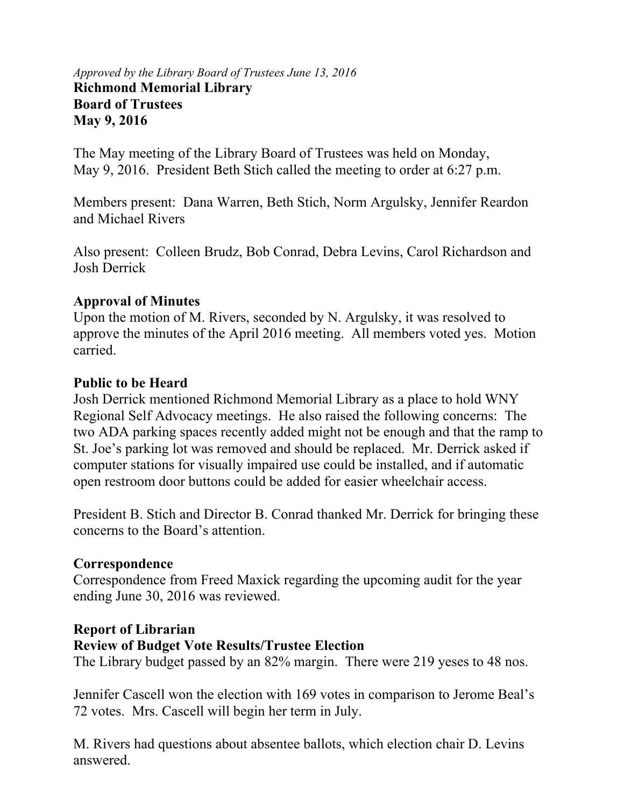#### *Approved by the Library Board of Trustees June 13, 2016* **Richmond Memorial Library Board of Trustees May 9, 2016**

The May meeting of the Library Board of Trustees was held on Monday, May 9, 2016. President Beth Stich called the meeting to order at 6:27 p.m.

Members present: Dana Warren, Beth Stich, Norm Argulsky, Jennifer Reardon and Michael Rivers

Also present: Colleen Brudz, Bob Conrad, Debra Levins, Carol Richardson and Josh Derrick

#### **Approval of Minutes**

Upon the motion of M. Rivers, seconded by N. Argulsky, it was resolved to approve the minutes of the April 2016 meeting. All members voted yes. Motion carried.

#### **Public to be Heard**

Josh Derrick mentioned Richmond Memorial Library as a place to hold WNY Regional Self Advocacy meetings. He also raised the following concerns: The two ADA parking spaces recently added might not be enough and that the ramp to St. Joe's parking lot was removed and should be replaced. Mr. Derrick asked if computer stations for visually impaired use could be installed, and if automatic open restroom door buttons could be added for easier wheelchair access.

President B. Stich and Director B. Conrad thanked Mr. Derrick for bringing these concerns to the Board's attention.

#### **Correspondence**

Correspondence from Freed Maxick regarding the upcoming audit for the year ending June 30, 2016 was reviewed.

#### **Report of Librarian**

#### **Review of Budget Vote Results/Trustee Election**

The Library budget passed by an 82% margin. There were 219 yeses to 48 nos.

Jennifer Cascell won the election with 169 votes in comparison to Jerome Beal's 72 votes. Mrs. Cascell will begin her term in July.

M. Rivers had questions about absentee ballots, which election chair D. Levins answered.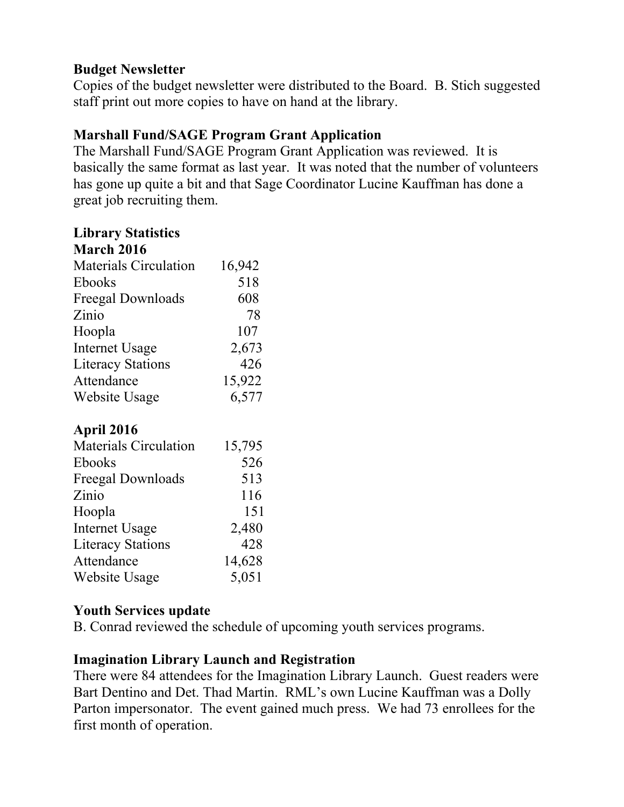### **Budget Newsletter**

Copies of the budget newsletter were distributed to the Board. B. Stich suggested staff print out more copies to have on hand at the library.

# **Marshall Fund/SAGE Program Grant Application**

The Marshall Fund/SAGE Program Grant Application was reviewed. It is basically the same format as last year. It was noted that the number of volunteers has gone up quite a bit and that Sage Coordinator Lucine Kauffman has done a great job recruiting them.

#### **Library Statistics**

| <b>March 2016</b>            |        |
|------------------------------|--------|
| <b>Materials Circulation</b> | 16,942 |
| Ebooks                       | 518    |
| Freegal Downloads            | 608    |
| Zinio                        | 78     |
| Hoopla                       | 107    |
| <b>Internet Usage</b>        | 2,673  |
| <b>Literacy Stations</b>     | 426    |
| Attendance                   | 15,922 |
| Website Usage                | 6,577  |

# **April 2016**

| <b>Materials Circulation</b> | 15,795 |
|------------------------------|--------|
| <b>Ebooks</b>                | 526    |
| Freegal Downloads            | 513    |
| Zinio                        | 116    |
| Hoopla                       | 151    |
| <b>Internet Usage</b>        | 2,480  |
| <b>Literacy Stations</b>     | 428    |
| Attendance                   | 14,628 |
| <b>Website Usage</b>         | 5,051  |

### **Youth Services update**

B. Conrad reviewed the schedule of upcoming youth services programs.

### **Imagination Library Launch and Registration**

There were 84 attendees for the Imagination Library Launch. Guest readers were Bart Dentino and Det. Thad Martin. RML's own Lucine Kauffman was a Dolly Parton impersonator. The event gained much press. We had 73 enrollees for the first month of operation.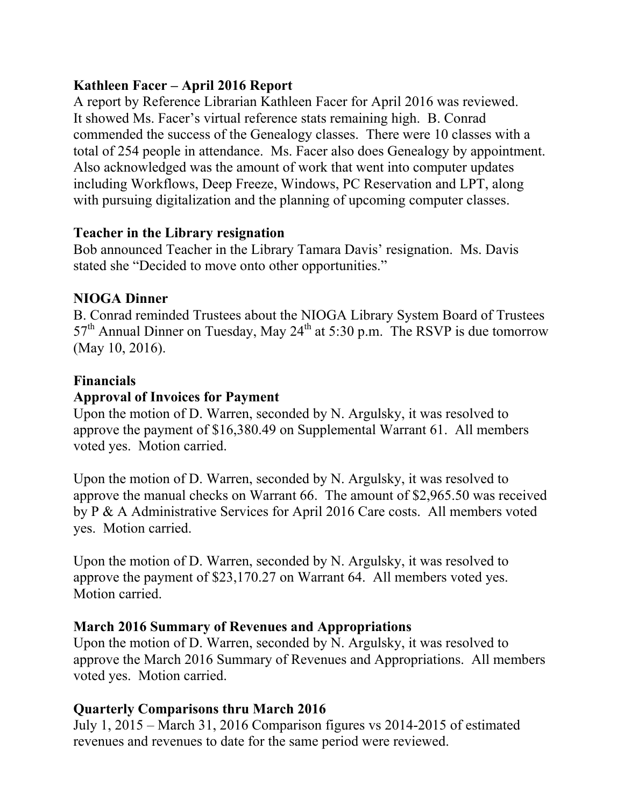# **Kathleen Facer – April 2016 Report**

A report by Reference Librarian Kathleen Facer for April 2016 was reviewed. It showed Ms. Facer's virtual reference stats remaining high. B. Conrad commended the success of the Genealogy classes. There were 10 classes with a total of 254 people in attendance. Ms. Facer also does Genealogy by appointment. Also acknowledged was the amount of work that went into computer updates including Workflows, Deep Freeze, Windows, PC Reservation and LPT, along with pursuing digitalization and the planning of upcoming computer classes.

#### **Teacher in the Library resignation**

Bob announced Teacher in the Library Tamara Davis' resignation. Ms. Davis stated she "Decided to move onto other opportunities."

# **NIOGA Dinner**

B. Conrad reminded Trustees about the NIOGA Library System Board of Trustees  $57<sup>th</sup>$  Annual Dinner on Tuesday, May 24<sup>th</sup> at 5:30 p.m. The RSVP is due tomorrow (May 10, 2016).

# **Financials**

# **Approval of Invoices for Payment**

Upon the motion of D. Warren, seconded by N. Argulsky, it was resolved to approve the payment of \$16,380.49 on Supplemental Warrant 61. All members voted yes. Motion carried.

Upon the motion of D. Warren, seconded by N. Argulsky, it was resolved to approve the manual checks on Warrant 66. The amount of \$2,965.50 was received by P & A Administrative Services for April 2016 Care costs. All members voted yes. Motion carried.

Upon the motion of D. Warren, seconded by N. Argulsky, it was resolved to approve the payment of \$23,170.27 on Warrant 64. All members voted yes. Motion carried.

### **March 2016 Summary of Revenues and Appropriations**

Upon the motion of D. Warren, seconded by N. Argulsky, it was resolved to approve the March 2016 Summary of Revenues and Appropriations. All members voted yes. Motion carried.

# **Quarterly Comparisons thru March 2016**

July 1, 2015 – March 31, 2016 Comparison figures vs 2014-2015 of estimated revenues and revenues to date for the same period were reviewed.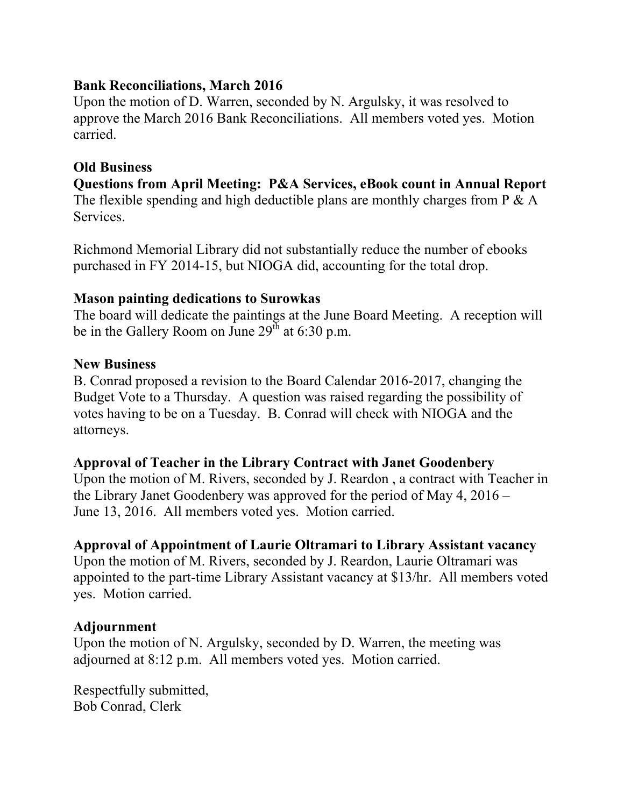#### **Bank Reconciliations, March 2016**

Upon the motion of D. Warren, seconded by N. Argulsky, it was resolved to approve the March 2016 Bank Reconciliations. All members voted yes. Motion carried.

### **Old Business**

**Questions from April Meeting: P&A Services, eBook count in Annual Report**  The flexible spending and high deductible plans are monthly charges from P & A Services.

Richmond Memorial Library did not substantially reduce the number of ebooks purchased in FY 2014-15, but NIOGA did, accounting for the total drop.

#### **Mason painting dedications to Surowkas**

The board will dedicate the paintings at the June Board Meeting. A reception will be in the Gallery Room on June  $29^{\text{th}}$  at 6:30 p.m.

#### **New Business**

B. Conrad proposed a revision to the Board Calendar 2016-2017, changing the Budget Vote to a Thursday. A question was raised regarding the possibility of votes having to be on a Tuesday. B. Conrad will check with NIOGA and the attorneys.

#### **Approval of Teacher in the Library Contract with Janet Goodenbery**

Upon the motion of M. Rivers, seconded by J. Reardon , a contract with Teacher in the Library Janet Goodenbery was approved for the period of May 4, 2016 – June 13, 2016. All members voted yes. Motion carried.

### **Approval of Appointment of Laurie Oltramari to Library Assistant vacancy**

Upon the motion of M. Rivers, seconded by J. Reardon, Laurie Oltramari was appointed to the part-time Library Assistant vacancy at \$13/hr. All members voted yes. Motion carried.

### **Adjournment**

Upon the motion of N. Argulsky, seconded by D. Warren, the meeting was adjourned at 8:12 p.m. All members voted yes. Motion carried.

Respectfully submitted, Bob Conrad, Clerk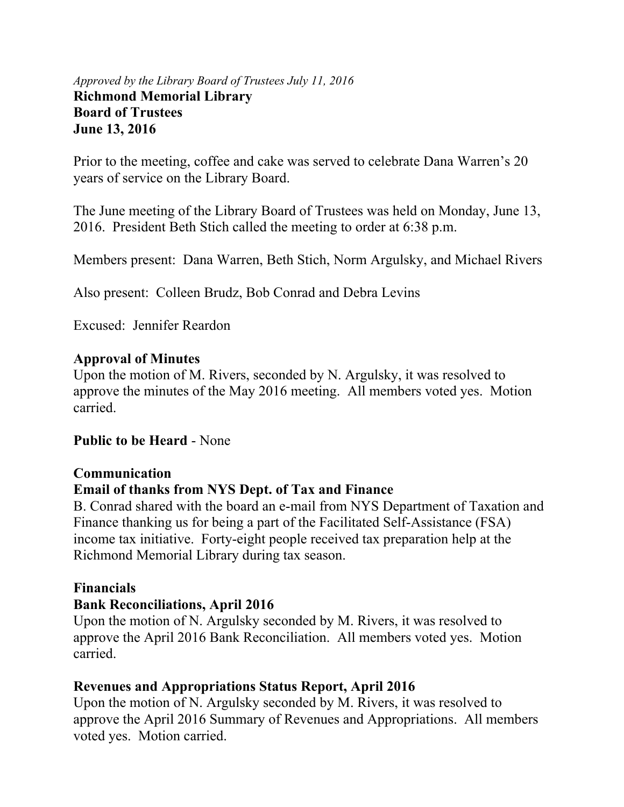#### *Approved by the Library Board of Trustees July 11, 2016* **Richmond Memorial Library Board of Trustees June 13, 2016**

Prior to the meeting, coffee and cake was served to celebrate Dana Warren's 20 years of service on the Library Board.

The June meeting of the Library Board of Trustees was held on Monday, June 13, 2016. President Beth Stich called the meeting to order at 6:38 p.m.

Members present: Dana Warren, Beth Stich, Norm Argulsky, and Michael Rivers

Also present: Colleen Brudz, Bob Conrad and Debra Levins

Excused: Jennifer Reardon

#### **Approval of Minutes**

Upon the motion of M. Rivers, seconded by N. Argulsky, it was resolved to approve the minutes of the May 2016 meeting. All members voted yes. Motion carried.

#### **Public to be Heard** - None

#### **Communication**

### **Email of thanks from NYS Dept. of Tax and Finance**

B. Conrad shared with the board an e-mail from NYS Department of Taxation and Finance thanking us for being a part of the Facilitated Self-Assistance (FSA) income tax initiative. Forty-eight people received tax preparation help at the Richmond Memorial Library during tax season.

### **Financials**

#### **Bank Reconciliations, April 2016**

Upon the motion of N. Argulsky seconded by M. Rivers, it was resolved to approve the April 2016 Bank Reconciliation. All members voted yes. Motion carried.

### **Revenues and Appropriations Status Report, April 2016**

Upon the motion of N. Argulsky seconded by M. Rivers, it was resolved to approve the April 2016 Summary of Revenues and Appropriations. All members voted yes. Motion carried.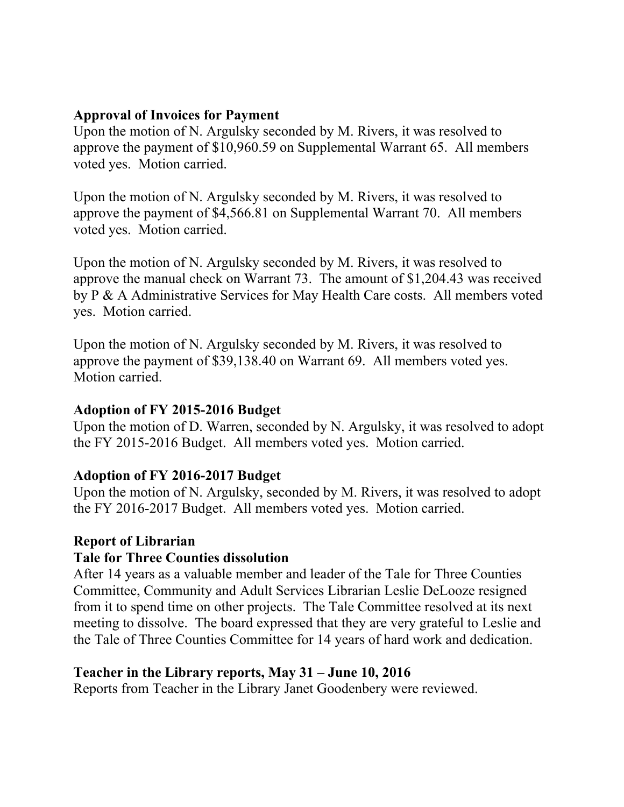#### **Approval of Invoices for Payment**

Upon the motion of N. Argulsky seconded by M. Rivers, it was resolved to approve the payment of \$10,960.59 on Supplemental Warrant 65. All members voted yes. Motion carried.

Upon the motion of N. Argulsky seconded by M. Rivers, it was resolved to approve the payment of \$4,566.81 on Supplemental Warrant 70. All members voted yes. Motion carried.

Upon the motion of N. Argulsky seconded by M. Rivers, it was resolved to approve the manual check on Warrant 73. The amount of \$1,204.43 was received by P & A Administrative Services for May Health Care costs. All members voted yes. Motion carried.

Upon the motion of N. Argulsky seconded by M. Rivers, it was resolved to approve the payment of \$39,138.40 on Warrant 69. All members voted yes. Motion carried.

#### **Adoption of FY 2015-2016 Budget**

Upon the motion of D. Warren, seconded by N. Argulsky, it was resolved to adopt the FY 2015-2016 Budget. All members voted yes. Motion carried.

### **Adoption of FY 2016-2017 Budget**

Upon the motion of N. Argulsky, seconded by M. Rivers, it was resolved to adopt the FY 2016-2017 Budget. All members voted yes. Motion carried.

#### **Report of Librarian**

### **Tale for Three Counties dissolution**

After 14 years as a valuable member and leader of the Tale for Three Counties Committee, Community and Adult Services Librarian Leslie DeLooze resigned from it to spend time on other projects. The Tale Committee resolved at its next meeting to dissolve. The board expressed that they are very grateful to Leslie and the Tale of Three Counties Committee for 14 years of hard work and dedication.

### **Teacher in the Library reports, May 31 – June 10, 2016**

Reports from Teacher in the Library Janet Goodenbery were reviewed.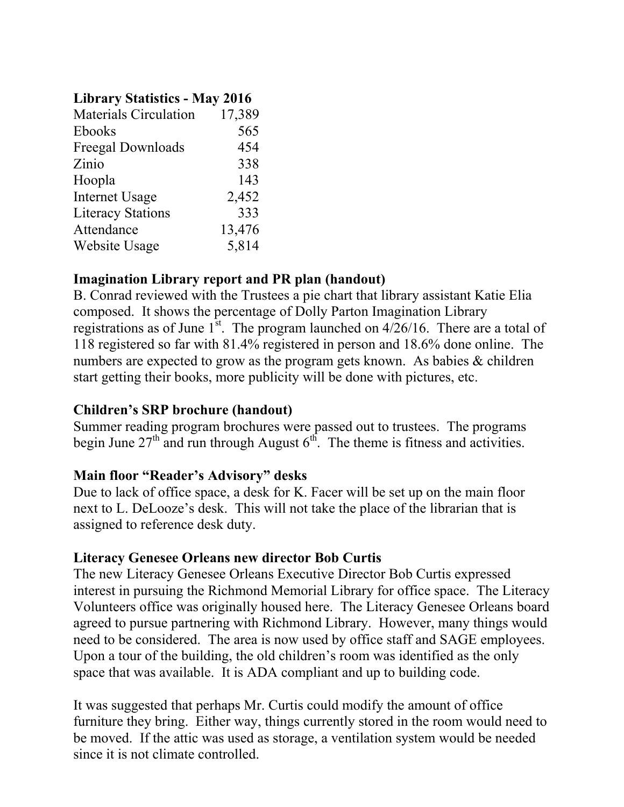#### **Library Statistics - May 2016**

| <b>Materials Circulation</b> | 17,389 |
|------------------------------|--------|
| Ebooks                       | 565    |
| Freegal Downloads            | 454    |
| Zinio                        | 338    |
| Hoopla                       | 143    |
| <b>Internet Usage</b>        | 2,452  |
| <b>Literacy Stations</b>     | 333    |
| Attendance                   | 13,476 |
| Website Usage                | 5,814  |
|                              |        |

### **Imagination Library report and PR plan (handout)**

B. Conrad reviewed with the Trustees a pie chart that library assistant Katie Elia composed. It shows the percentage of Dolly Parton Imagination Library registrations as of June  $1<sup>st</sup>$ . The program launched on  $4/26/16$ . There are a total of 118 registered so far with 81.4% registered in person and 18.6% done online. The numbers are expected to grow as the program gets known. As babies & children start getting their books, more publicity will be done with pictures, etc.

#### **Children's SRP brochure (handout)**

Summer reading program brochures were passed out to trustees. The programs begin June  $27<sup>th</sup>$  and run through August  $6<sup>th</sup>$ . The theme is fitness and activities.

### **Main floor "Reader's Advisory" desks**

Due to lack of office space, a desk for K. Facer will be set up on the main floor next to L. DeLooze's desk. This will not take the place of the librarian that is assigned to reference desk duty.

#### **Literacy Genesee Orleans new director Bob Curtis**

The new Literacy Genesee Orleans Executive Director Bob Curtis expressed interest in pursuing the Richmond Memorial Library for office space. The Literacy Volunteers office was originally housed here. The Literacy Genesee Orleans board agreed to pursue partnering with Richmond Library. However, many things would need to be considered. The area is now used by office staff and SAGE employees. Upon a tour of the building, the old children's room was identified as the only space that was available. It is ADA compliant and up to building code.

It was suggested that perhaps Mr. Curtis could modify the amount of office furniture they bring. Either way, things currently stored in the room would need to be moved. If the attic was used as storage, a ventilation system would be needed since it is not climate controlled.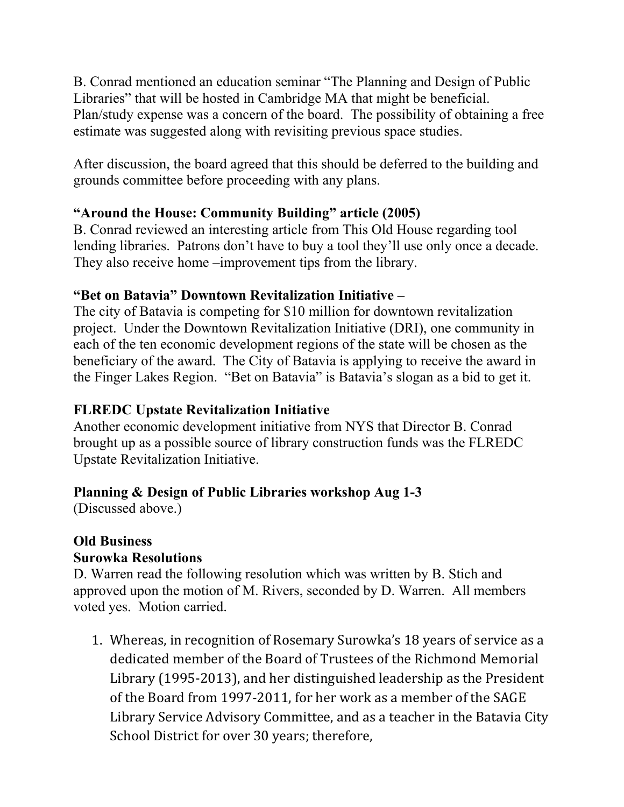B. Conrad mentioned an education seminar "The Planning and Design of Public Libraries" that will be hosted in Cambridge MA that might be beneficial. Plan/study expense was a concern of the board. The possibility of obtaining a free estimate was suggested along with revisiting previous space studies.

After discussion, the board agreed that this should be deferred to the building and grounds committee before proceeding with any plans.

# **"Around the House: Community Building" article (2005)**

B. Conrad reviewed an interesting article from This Old House regarding tool lending libraries. Patrons don't have to buy a tool they'll use only once a decade. They also receive home –improvement tips from the library.

# **"Bet on Batavia" Downtown Revitalization Initiative –**

The city of Batavia is competing for \$10 million for downtown revitalization project. Under the Downtown Revitalization Initiative (DRI), one community in each of the ten economic development regions of the state will be chosen as the beneficiary of the award. The City of Batavia is applying to receive the award in the Finger Lakes Region. "Bet on Batavia" is Batavia's slogan as a bid to get it.

# **FLREDC Upstate Revitalization Initiative**

Another economic development initiative from NYS that Director B. Conrad brought up as a possible source of library construction funds was the FLREDC Upstate Revitalization Initiative.

# **Planning & Design of Public Libraries workshop Aug 1-3**

(Discussed above.)

# **Old Business**

# **Surowka Resolutions**

D. Warren read the following resolution which was written by B. Stich and approved upon the motion of M. Rivers, seconded by D. Warren. All members voted yes. Motion carried.

1. Whereas, in recognition of Rosemary Surowka's 18 years of service as a dedicated member of the Board of Trustees of the Richmond Memorial Library (1995‐2013), and her distinguished leadership as the President of the Board from 1997‐2011, for her work as a member of the SAGE Library Service Advisory Committee, and as a teacher in the Batavia City School District for over 30 years; therefore,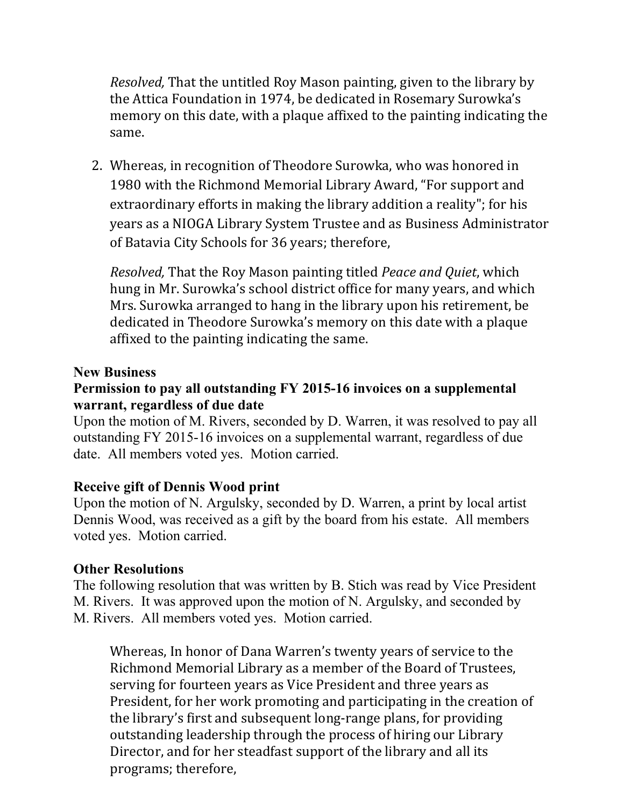*Resolved,* That the untitled Roy Mason painting, given to the library by the Attica Foundation in 1974, be dedicated in Rosemary Surowka's memory on this date, with a plaque affixed to the painting indicating the same.

2. Whereas, in recognition of Theodore Surowka, who was honored in 1980 with the Richmond Memorial Library Award, "For support and extraordinary efforts in making the library addition a reality"; for his years as a NIOGA Library System Trustee and as Business Administrator of Batavia City Schools for 36 years; therefore,

*Resolved,* That the Roy Mason painting titled *Peace and Quiet*, which hung in Mr. Surowka's school district office for many years, and which Mrs. Surowka arranged to hang in the library upon his retirement, be dedicated in Theodore Surowka's memory on this date with a plaque affixed to the painting indicating the same.

#### **New Business**

#### **Permission to pay all outstanding FY 2015-16 invoices on a supplemental warrant, regardless of due date**

Upon the motion of M. Rivers, seconded by D. Warren, it was resolved to pay all outstanding FY 2015-16 invoices on a supplemental warrant, regardless of due date. All members voted yes. Motion carried.

#### **Receive gift of Dennis Wood print**

Upon the motion of N. Argulsky, seconded by D. Warren, a print by local artist Dennis Wood, was received as a gift by the board from his estate. All members voted yes. Motion carried.

### **Other Resolutions**

The following resolution that was written by B. Stich was read by Vice President M. Rivers. It was approved upon the motion of N. Argulsky, and seconded by M. Rivers. All members voted yes. Motion carried.

Whereas, In honor of Dana Warren's twenty years of service to the Richmond Memorial Library as a member of the Board of Trustees, serving for fourteen years as Vice President and three years as President, for her work promoting and participating in the creation of the library's first and subsequent long‐range plans, for providing outstanding leadership through the process of hiring our Library Director, and for her steadfast support of the library and all its programs; therefore,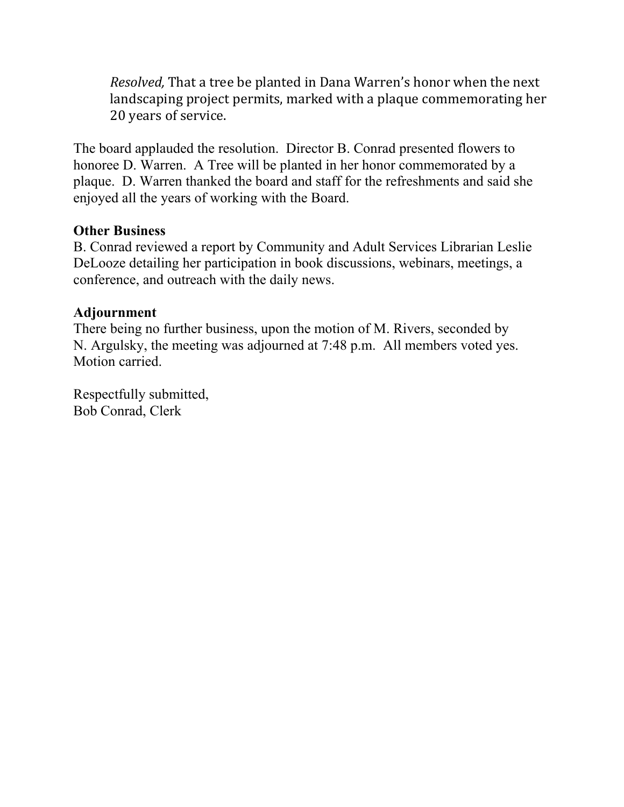*Resolved,* That a tree be planted in Dana Warren's honor when the next landscaping project permits, marked with a plaque commemorating her 20 years of service.

The board applauded the resolution. Director B. Conrad presented flowers to honoree D. Warren. A Tree will be planted in her honor commemorated by a plaque. D. Warren thanked the board and staff for the refreshments and said she enjoyed all the years of working with the Board.

#### **Other Business**

B. Conrad reviewed a report by Community and Adult Services Librarian Leslie DeLooze detailing her participation in book discussions, webinars, meetings, a conference, and outreach with the daily news.

#### **Adjournment**

There being no further business, upon the motion of M. Rivers, seconded by N. Argulsky, the meeting was adjourned at 7:48 p.m. All members voted yes. Motion carried.

Respectfully submitted, Bob Conrad, Clerk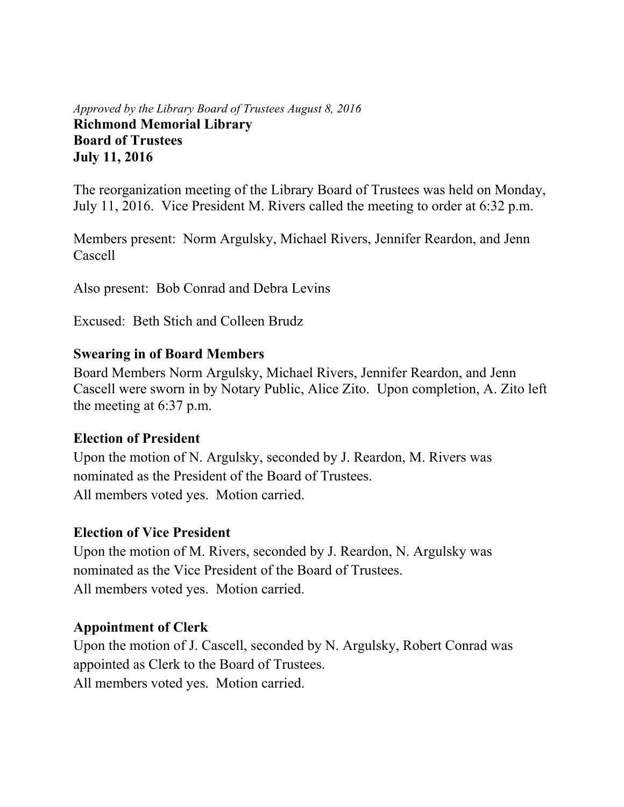#### *Approved by the Library Board of Trustees August 8, 2016* **Richmond Memorial Library Board of Trustees July 11, 2016**

The reorganization meeting of the Library Board of Trustees was held on Monday, July 11, 2016. Vice President M. Rivers called the meeting to order at 6:32 p.m.

Members present: Norm Argulsky, Michael Rivers, Jennifer Reardon, and Jenn Cascell

Also present: Bob Conrad and Debra Levins

Excused: Beth Stich and Colleen Brudz

#### **Swearing in of Board Members**

Board Members Norm Argulsky, Michael Rivers, Jennifer Reardon, and Jenn Cascell were sworn in by Notary Public, Alice Zito. Upon completion, A. Zito left the meeting at 6:37 p.m.

### **Election of President**

Upon the motion of N. Argulsky, seconded by J. Reardon, M. Rivers was nominated as the President of the Board of Trustees. All members voted yes. Motion carried.

### **Election of Vice President**

Upon the motion of M. Rivers, seconded by J. Reardon, N. Argulsky was nominated as the Vice President of the Board of Trustees. All members voted yes. Motion carried.

### **Appointment of Clerk**

Upon the motion of J. Cascell, seconded by N. Argulsky, Robert Conrad was appointed as Clerk to the Board of Trustees. All members voted yes. Motion carried.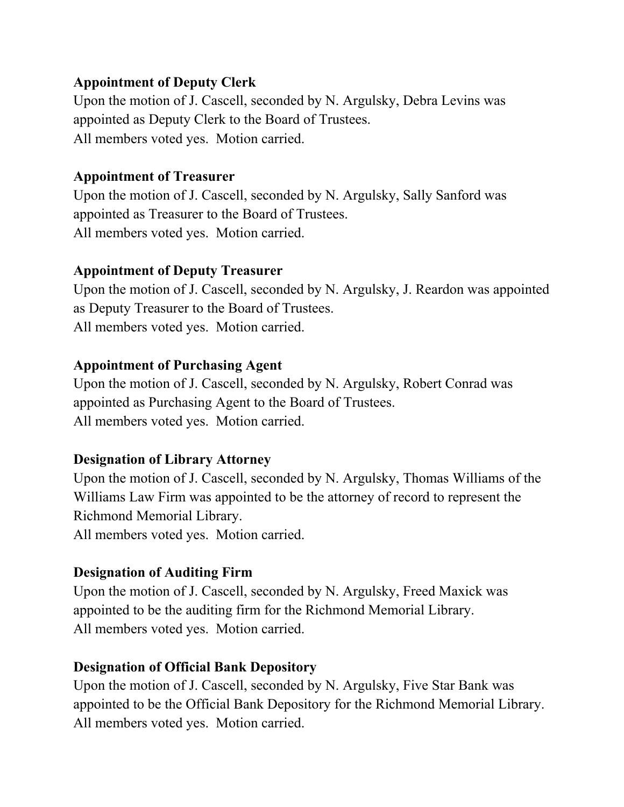### **Appointment of Deputy Clerk**

Upon the motion of J. Cascell, seconded by N. Argulsky, Debra Levins was appointed as Deputy Clerk to the Board of Trustees. All members voted yes. Motion carried.

#### **Appointment of Treasurer**

Upon the motion of J. Cascell, seconded by N. Argulsky, Sally Sanford was appointed as Treasurer to the Board of Trustees. All members voted yes. Motion carried.

#### **Appointment of Deputy Treasurer**

Upon the motion of J. Cascell, seconded by N. Argulsky, J. Reardon was appointed as Deputy Treasurer to the Board of Trustees. All members voted yes. Motion carried.

### **Appointment of Purchasing Agent**

Upon the motion of J. Cascell, seconded by N. Argulsky, Robert Conrad was appointed as Purchasing Agent to the Board of Trustees. All members voted yes. Motion carried.

### **Designation of Library Attorney**

Upon the motion of J. Cascell, seconded by N. Argulsky, Thomas Williams of the Williams Law Firm was appointed to be the attorney of record to represent the Richmond Memorial Library.

All members voted yes. Motion carried.

### **Designation of Auditing Firm**

Upon the motion of J. Cascell, seconded by N. Argulsky, Freed Maxick was appointed to be the auditing firm for the Richmond Memorial Library. All members voted yes. Motion carried.

### **Designation of Official Bank Depository**

Upon the motion of J. Cascell, seconded by N. Argulsky, Five Star Bank was appointed to be the Official Bank Depository for the Richmond Memorial Library. All members voted yes. Motion carried.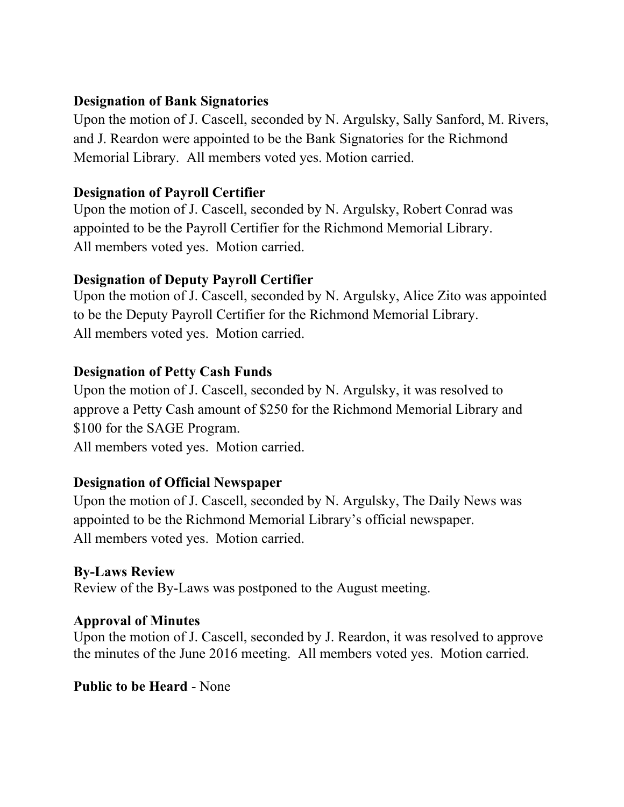#### **Designation of Bank Signatories**

Upon the motion of J. Cascell, seconded by N. Argulsky, Sally Sanford, M. Rivers, and J. Reardon were appointed to be the Bank Signatories for the Richmond Memorial Library. All members voted yes. Motion carried.

# **Designation of Payroll Certifier**

Upon the motion of J. Cascell, seconded by N. Argulsky, Robert Conrad was appointed to be the Payroll Certifier for the Richmond Memorial Library. All members voted yes. Motion carried.

# **Designation of Deputy Payroll Certifier**

Upon the motion of J. Cascell, seconded by N. Argulsky, Alice Zito was appointed to be the Deputy Payroll Certifier for the Richmond Memorial Library. All members voted yes. Motion carried.

# **Designation of Petty Cash Funds**

Upon the motion of J. Cascell, seconded by N. Argulsky, it was resolved to approve a Petty Cash amount of \$250 for the Richmond Memorial Library and \$100 for the SAGE Program.

All members voted yes. Motion carried.

# **Designation of Official Newspaper**

Upon the motion of J. Cascell, seconded by N. Argulsky, The Daily News was appointed to be the Richmond Memorial Library's official newspaper. All members voted yes. Motion carried.

### **By-Laws Review**

Review of the By-Laws was postponed to the August meeting.

### **Approval of Minutes**

Upon the motion of J. Cascell, seconded by J. Reardon, it was resolved to approve the minutes of the June 2016 meeting. All members voted yes. Motion carried.

#### **Public to be Heard** - None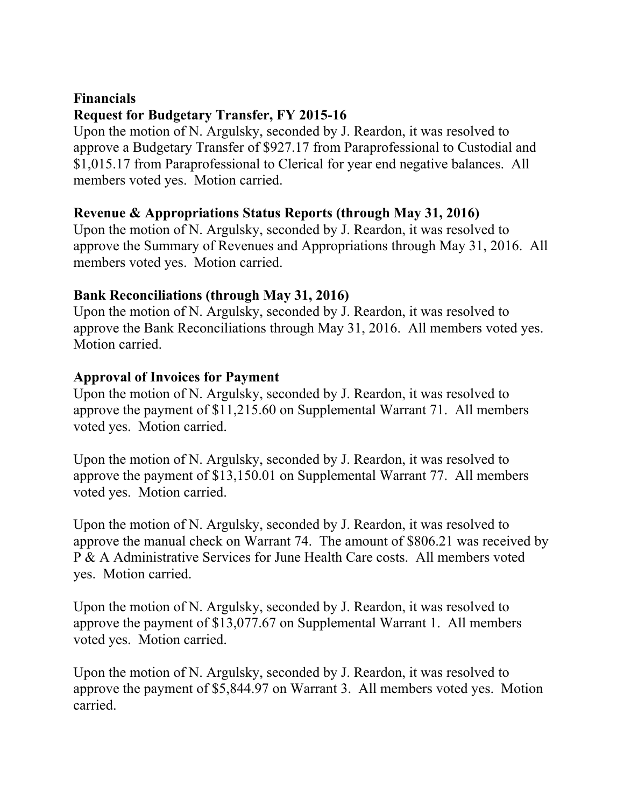# **Financials Request for Budgetary Transfer, FY 2015-16**

Upon the motion of N. Argulsky, seconded by J. Reardon, it was resolved to approve a Budgetary Transfer of \$927.17 from Paraprofessional to Custodial and \$1,015.17 from Paraprofessional to Clerical for year end negative balances. All members voted yes. Motion carried.

# **Revenue & Appropriations Status Reports (through May 31, 2016)**

Upon the motion of N. Argulsky, seconded by J. Reardon, it was resolved to approve the Summary of Revenues and Appropriations through May 31, 2016. All members voted yes. Motion carried.

### **Bank Reconciliations (through May 31, 2016)**

Upon the motion of N. Argulsky, seconded by J. Reardon, it was resolved to approve the Bank Reconciliations through May 31, 2016. All members voted yes. Motion carried.

### **Approval of Invoices for Payment**

Upon the motion of N. Argulsky, seconded by J. Reardon, it was resolved to approve the payment of \$11,215.60 on Supplemental Warrant 71. All members voted yes. Motion carried.

Upon the motion of N. Argulsky, seconded by J. Reardon, it was resolved to approve the payment of \$13,150.01 on Supplemental Warrant 77. All members voted yes. Motion carried.

Upon the motion of N. Argulsky, seconded by J. Reardon, it was resolved to approve the manual check on Warrant 74. The amount of \$806.21 was received by P & A Administrative Services for June Health Care costs. All members voted yes. Motion carried.

Upon the motion of N. Argulsky, seconded by J. Reardon, it was resolved to approve the payment of \$13,077.67 on Supplemental Warrant 1. All members voted yes. Motion carried.

Upon the motion of N. Argulsky, seconded by J. Reardon, it was resolved to approve the payment of \$5,844.97 on Warrant 3. All members voted yes. Motion carried.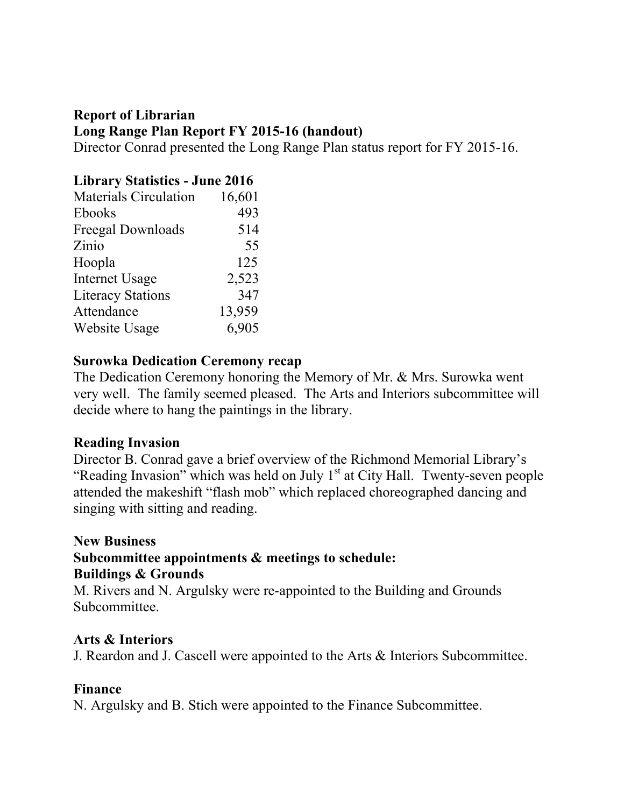# **Report of Librarian Long Range Plan Report FY 2015-16 (handout)**

Director Conrad presented the Long Range Plan status report for FY 2015-16.

# **Library Statistics - June 2016**

| <b>Materials Circulation</b> | 16,601 |
|------------------------------|--------|
| Ebooks                       | 493    |
| Freegal Downloads            | 514    |
| Zinio                        | 55     |
| Hoopla                       | 125    |
| <b>Internet Usage</b>        | 2,523  |
| <b>Literacy Stations</b>     | 347    |
| Attendance                   | 13,959 |
| Website Usage                | 6,905  |

### **Surowka Dedication Ceremony recap**

The Dedication Ceremony honoring the Memory of Mr. & Mrs. Surowka went very well. The family seemed pleased. The Arts and Interiors subcommittee will decide where to hang the paintings in the library.

### **Reading Invasion**

Director B. Conrad gave a brief overview of the Richmond Memorial Library's "Reading Invasion" which was held on July  $1<sup>st</sup>$  at City Hall. Twenty-seven people attended the makeshift "flash mob" which replaced choreographed dancing and singing with sitting and reading.

### **New Business**

#### **Subcommittee appointments & meetings to schedule: Buildings & Grounds**

M. Rivers and N. Argulsky were re-appointed to the Building and Grounds Subcommittee.

### **Arts & Interiors**

J. Reardon and J. Cascell were appointed to the Arts & Interiors Subcommittee.

### **Finance**

N. Argulsky and B. Stich were appointed to the Finance Subcommittee.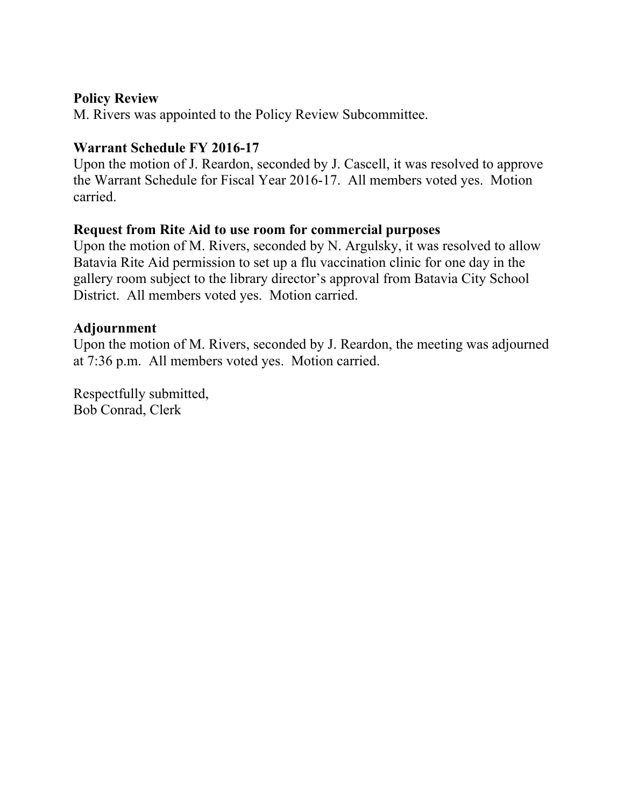#### **Policy Review**

M. Rivers was appointed to the Policy Review Subcommittee.

### **Warrant Schedule FY 2016-17**

Upon the motion of J. Reardon, seconded by J. Cascell, it was resolved to approve the Warrant Schedule for Fiscal Year 2016-17. All members voted yes. Motion carried.

#### **Request from Rite Aid to use room for commercial purposes**

Upon the motion of M. Rivers, seconded by N. Argulsky, it was resolved to allow Batavia Rite Aid permission to set up a flu vaccination clinic for one day in the gallery room subject to the library director's approval from Batavia City School District. All members voted yes. Motion carried.

### **Adjournment**

Upon the motion of M. Rivers, seconded by J. Reardon, the meeting was adjourned at 7:36 p.m. All members voted yes. Motion carried.

Respectfully submitted, Bob Conrad, Clerk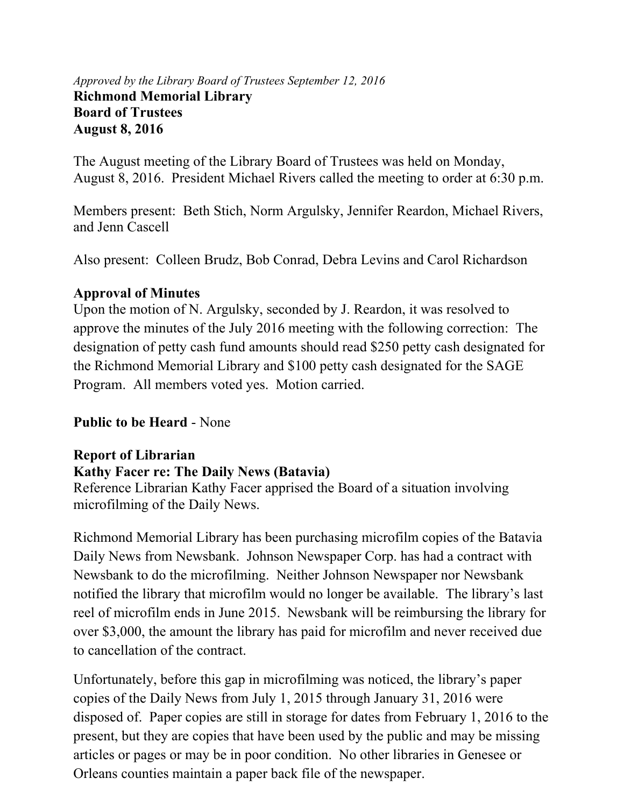#### *Approved by the Library Board of Trustees September 12, 2016* **Richmond Memorial Library Board of Trustees August 8, 2016**

The August meeting of the Library Board of Trustees was held on Monday, August 8, 2016. President Michael Rivers called the meeting to order at 6:30 p.m.

Members present: Beth Stich, Norm Argulsky, Jennifer Reardon, Michael Rivers, and Jenn Cascell

Also present: Colleen Brudz, Bob Conrad, Debra Levins and Carol Richardson

#### **Approval of Minutes**

Upon the motion of N. Argulsky, seconded by J. Reardon, it was resolved to approve the minutes of the July 2016 meeting with the following correction: The designation of petty cash fund amounts should read \$250 petty cash designated for the Richmond Memorial Library and \$100 petty cash designated for the SAGE Program. All members voted yes. Motion carried.

### **Public to be Heard** - None

# **Report of Librarian Kathy Facer re: The Daily News (Batavia)**

Reference Librarian Kathy Facer apprised the Board of a situation involving microfilming of the Daily News.

Richmond Memorial Library has been purchasing microfilm copies of the Batavia Daily News from Newsbank. Johnson Newspaper Corp. has had a contract with Newsbank to do the microfilming. Neither Johnson Newspaper nor Newsbank notified the library that microfilm would no longer be available. The library's last reel of microfilm ends in June 2015. Newsbank will be reimbursing the library for over \$3,000, the amount the library has paid for microfilm and never received due to cancellation of the contract.

Unfortunately, before this gap in microfilming was noticed, the library's paper copies of the Daily News from July 1, 2015 through January 31, 2016 were disposed of. Paper copies are still in storage for dates from February 1, 2016 to the present, but they are copies that have been used by the public and may be missing articles or pages or may be in poor condition. No other libraries in Genesee or Orleans counties maintain a paper back file of the newspaper.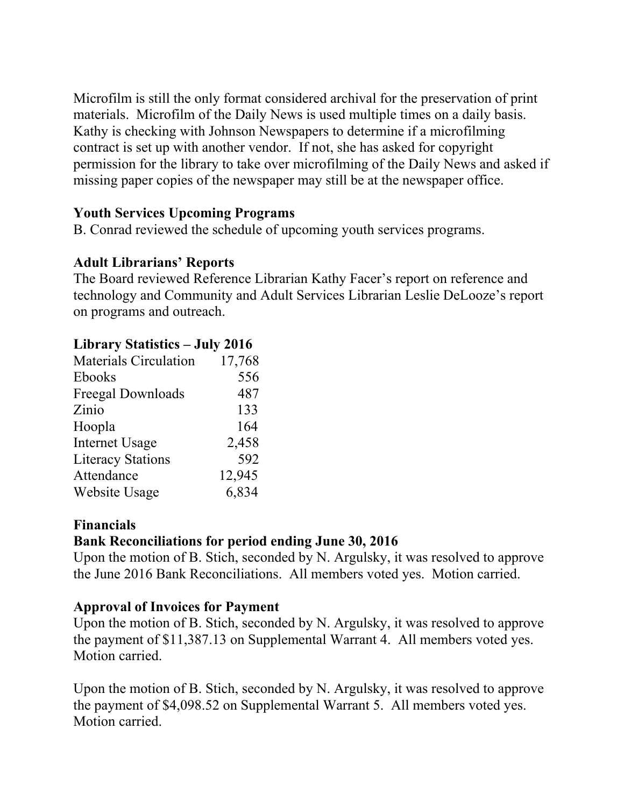Microfilm is still the only format considered archival for the preservation of print materials. Microfilm of the Daily News is used multiple times on a daily basis. Kathy is checking with Johnson Newspapers to determine if a microfilming contract is set up with another vendor. If not, she has asked for copyright permission for the library to take over microfilming of the Daily News and asked if missing paper copies of the newspaper may still be at the newspaper office.

### **Youth Services Upcoming Programs**

B. Conrad reviewed the schedule of upcoming youth services programs.

### **Adult Librarians' Reports**

The Board reviewed Reference Librarian Kathy Facer's report on reference and technology and Community and Adult Services Librarian Leslie DeLooze's report on programs and outreach.

#### **Library Statistics – July 2016**

| <b>Materials Circulation</b> | 17,768 |
|------------------------------|--------|
| Ebooks                       | 556    |
| Freegal Downloads            | 487    |
| Zinio                        | 133    |
| Hoopla                       | 164    |
| <b>Internet Usage</b>        | 2,458  |
| <b>Literacy Stations</b>     | 592    |
| Attendance                   | 12,945 |
| <b>Website Usage</b>         | 6,834  |
|                              |        |

#### **Financials**

#### **Bank Reconciliations for period ending June 30, 2016**

Upon the motion of B. Stich, seconded by N. Argulsky, it was resolved to approve the June 2016 Bank Reconciliations. All members voted yes. Motion carried.

#### **Approval of Invoices for Payment**

Upon the motion of B. Stich, seconded by N. Argulsky, it was resolved to approve the payment of \$11,387.13 on Supplemental Warrant 4. All members voted yes. Motion carried.

Upon the motion of B. Stich, seconded by N. Argulsky, it was resolved to approve the payment of \$4,098.52 on Supplemental Warrant 5. All members voted yes. Motion carried.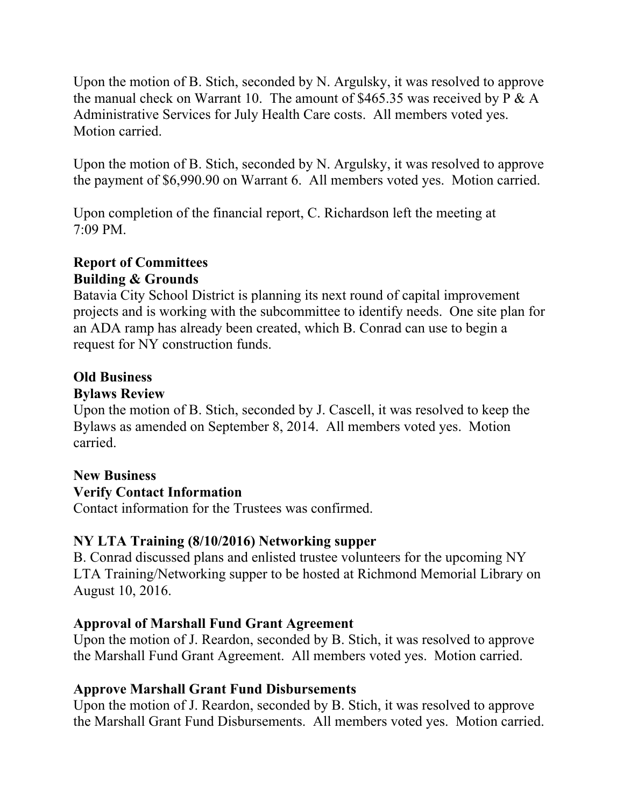Upon the motion of B. Stich, seconded by N. Argulsky, it was resolved to approve the manual check on Warrant 10. The amount of \$465.35 was received by  $P \& A$ Administrative Services for July Health Care costs. All members voted yes. Motion carried.

Upon the motion of B. Stich, seconded by N. Argulsky, it was resolved to approve the payment of \$6,990.90 on Warrant 6. All members voted yes. Motion carried.

Upon completion of the financial report, C. Richardson left the meeting at 7:09 PM.

### **Report of Committees Building & Grounds**

Batavia City School District is planning its next round of capital improvement projects and is working with the subcommittee to identify needs. One site plan for an ADA ramp has already been created, which B. Conrad can use to begin a request for NY construction funds.

# **Old Business**

#### **Bylaws Review**

Upon the motion of B. Stich, seconded by J. Cascell, it was resolved to keep the Bylaws as amended on September 8, 2014. All members voted yes. Motion carried.

# **New Business**

# **Verify Contact Information**

Contact information for the Trustees was confirmed.

#### **NY LTA Training (8/10/2016) Networking supper**

B. Conrad discussed plans and enlisted trustee volunteers for the upcoming NY LTA Training/Networking supper to be hosted at Richmond Memorial Library on August 10, 2016.

### **Approval of Marshall Fund Grant Agreement**

Upon the motion of J. Reardon, seconded by B. Stich, it was resolved to approve the Marshall Fund Grant Agreement. All members voted yes. Motion carried.

### **Approve Marshall Grant Fund Disbursements**

Upon the motion of J. Reardon, seconded by B. Stich, it was resolved to approve the Marshall Grant Fund Disbursements. All members voted yes. Motion carried.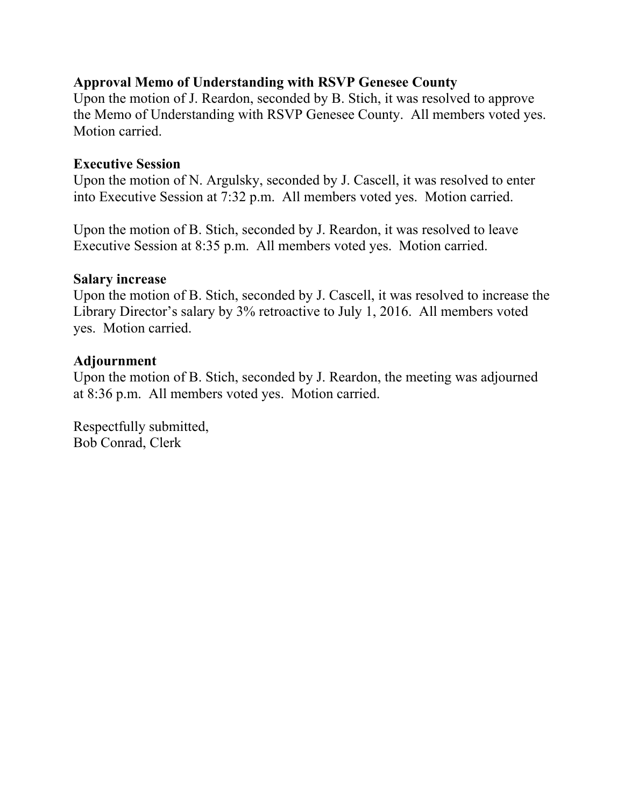### **Approval Memo of Understanding with RSVP Genesee County**

Upon the motion of J. Reardon, seconded by B. Stich, it was resolved to approve the Memo of Understanding with RSVP Genesee County. All members voted yes. Motion carried.

#### **Executive Session**

Upon the motion of N. Argulsky, seconded by J. Cascell, it was resolved to enter into Executive Session at 7:32 p.m. All members voted yes. Motion carried.

Upon the motion of B. Stich, seconded by J. Reardon, it was resolved to leave Executive Session at 8:35 p.m. All members voted yes. Motion carried.

#### **Salary increase**

Upon the motion of B. Stich, seconded by J. Cascell, it was resolved to increase the Library Director's salary by 3% retroactive to July 1, 2016. All members voted yes. Motion carried.

#### **Adjournment**

Upon the motion of B. Stich, seconded by J. Reardon, the meeting was adjourned at 8:36 p.m. All members voted yes. Motion carried.

Respectfully submitted, Bob Conrad, Clerk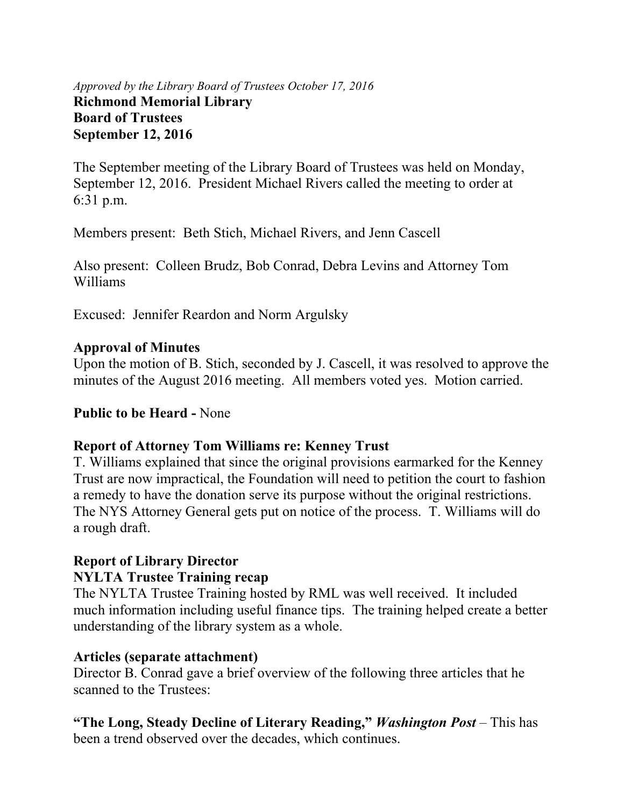#### *Approved by the Library Board of Trustees October 17, 2016* **Richmond Memorial Library Board of Trustees September 12, 2016**

The September meeting of the Library Board of Trustees was held on Monday, September 12, 2016. President Michael Rivers called the meeting to order at 6:31 p.m.

Members present: Beth Stich, Michael Rivers, and Jenn Cascell

Also present: Colleen Brudz, Bob Conrad, Debra Levins and Attorney Tom Williams

Excused: Jennifer Reardon and Norm Argulsky

#### **Approval of Minutes**

Upon the motion of B. Stich, seconded by J. Cascell, it was resolved to approve the minutes of the August 2016 meeting. All members voted yes. Motion carried.

#### **Public to be Heard -** None

#### **Report of Attorney Tom Williams re: Kenney Trust**

T. Williams explained that since the original provisions earmarked for the Kenney Trust are now impractical, the Foundation will need to petition the court to fashion a remedy to have the donation serve its purpose without the original restrictions. The NYS Attorney General gets put on notice of the process. T. Williams will do a rough draft.

### **Report of Library Director**

#### **NYLTA Trustee Training recap**

The NYLTA Trustee Training hosted by RML was well received. It included much information including useful finance tips. The training helped create a better understanding of the library system as a whole.

#### **Articles (separate attachment)**

Director B. Conrad gave a brief overview of the following three articles that he scanned to the Trustees:

**"The Long, Steady Decline of Literary Reading,"** *Washington Post* – This has been a trend observed over the decades, which continues.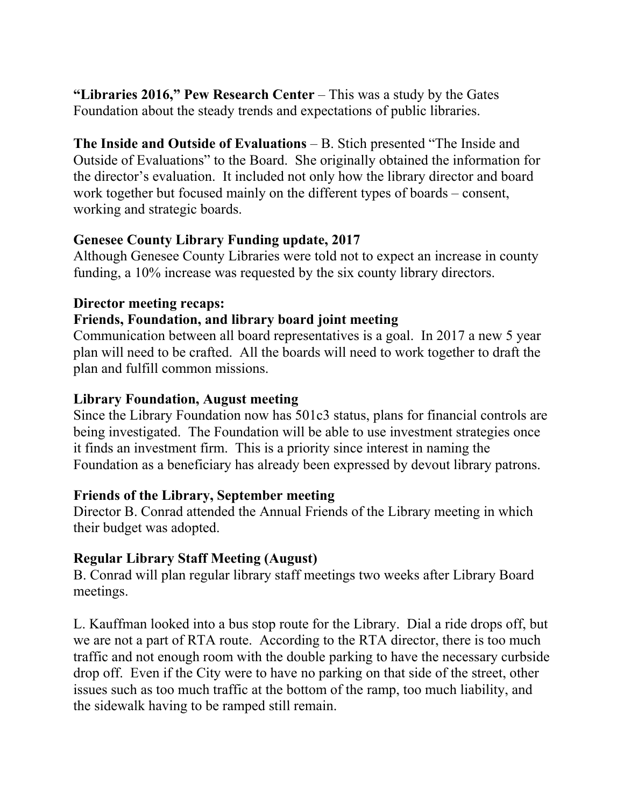**"Libraries 2016," Pew Research Center** – This was a study by the Gates Foundation about the steady trends and expectations of public libraries.

**The Inside and Outside of Evaluations** – B. Stich presented "The Inside and Outside of Evaluations" to the Board. She originally obtained the information for the director's evaluation. It included not only how the library director and board work together but focused mainly on the different types of boards – consent, working and strategic boards.

#### **Genesee County Library Funding update, 2017**

Although Genesee County Libraries were told not to expect an increase in county funding, a 10% increase was requested by the six county library directors.

#### **Director meeting recaps:**

#### **Friends, Foundation, and library board joint meeting**

Communication between all board representatives is a goal. In 2017 a new 5 year plan will need to be crafted. All the boards will need to work together to draft the plan and fulfill common missions.

#### **Library Foundation, August meeting**

Since the Library Foundation now has 501c3 status, plans for financial controls are being investigated. The Foundation will be able to use investment strategies once it finds an investment firm. This is a priority since interest in naming the Foundation as a beneficiary has already been expressed by devout library patrons.

#### **Friends of the Library, September meeting**

Director B. Conrad attended the Annual Friends of the Library meeting in which their budget was adopted.

### **Regular Library Staff Meeting (August)**

B. Conrad will plan regular library staff meetings two weeks after Library Board meetings.

L. Kauffman looked into a bus stop route for the Library. Dial a ride drops off, but we are not a part of RTA route. According to the RTA director, there is too much traffic and not enough room with the double parking to have the necessary curbside drop off. Even if the City were to have no parking on that side of the street, other issues such as too much traffic at the bottom of the ramp, too much liability, and the sidewalk having to be ramped still remain.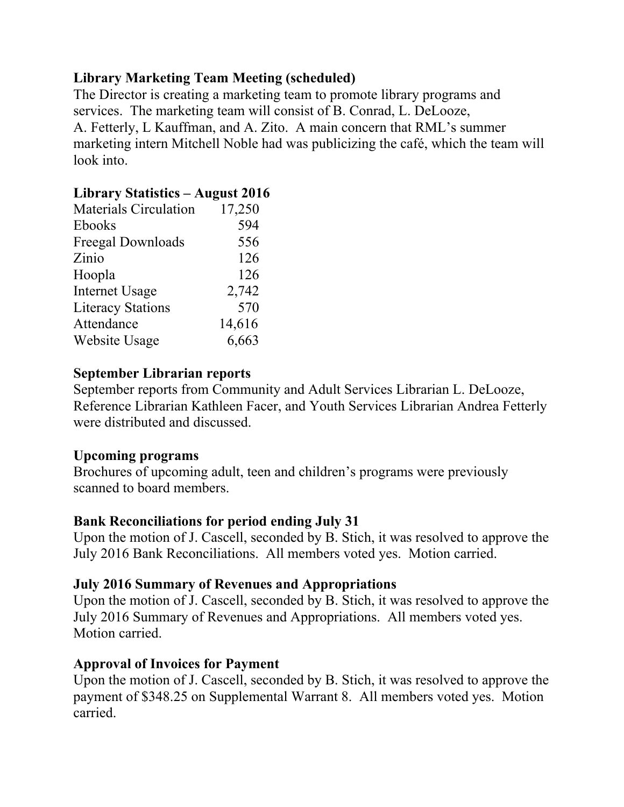# **Library Marketing Team Meeting (scheduled)**

The Director is creating a marketing team to promote library programs and services. The marketing team will consist of B. Conrad, L. DeLooze, A. Fetterly, L Kauffman, and A. Zito. A main concern that RML's summer marketing intern Mitchell Noble had was publicizing the café, which the team will look into.

### **Library Statistics – August 2016**

| <b>Materials Circulation</b> | 17,250 |
|------------------------------|--------|
| <b>Ebooks</b>                | 594    |
| Freegal Downloads            | 556    |
| Zinio                        | 126    |
| Hoopla                       | 126    |
| <b>Internet Usage</b>        | 2,742  |
| <b>Literacy Stations</b>     | 570    |
| Attendance                   | 14,616 |
| Website Usage                | 6,663  |

#### **September Librarian reports**

September reports from Community and Adult Services Librarian L. DeLooze, Reference Librarian Kathleen Facer, and Youth Services Librarian Andrea Fetterly were distributed and discussed.

#### **Upcoming programs**

Brochures of upcoming adult, teen and children's programs were previously scanned to board members.

#### **Bank Reconciliations for period ending July 31**

Upon the motion of J. Cascell, seconded by B. Stich, it was resolved to approve the July 2016 Bank Reconciliations. All members voted yes. Motion carried.

#### **July 2016 Summary of Revenues and Appropriations**

Upon the motion of J. Cascell, seconded by B. Stich, it was resolved to approve the July 2016 Summary of Revenues and Appropriations. All members voted yes. Motion carried.

#### **Approval of Invoices for Payment**

Upon the motion of J. Cascell, seconded by B. Stich, it was resolved to approve the payment of \$348.25 on Supplemental Warrant 8. All members voted yes. Motion carried.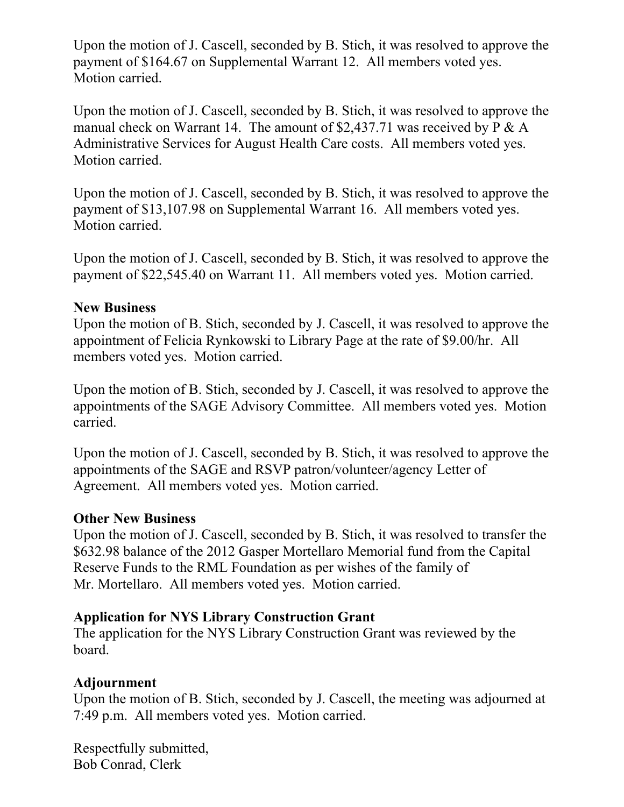Upon the motion of J. Cascell, seconded by B. Stich, it was resolved to approve the payment of \$164.67 on Supplemental Warrant 12. All members voted yes. Motion carried.

Upon the motion of J. Cascell, seconded by B. Stich, it was resolved to approve the manual check on Warrant 14. The amount of \$2,437.71 was received by  $P \& A$ Administrative Services for August Health Care costs. All members voted yes. Motion carried.

Upon the motion of J. Cascell, seconded by B. Stich, it was resolved to approve the payment of \$13,107.98 on Supplemental Warrant 16. All members voted yes. Motion carried.

Upon the motion of J. Cascell, seconded by B. Stich, it was resolved to approve the payment of \$22,545.40 on Warrant 11. All members voted yes. Motion carried.

#### **New Business**

Upon the motion of B. Stich, seconded by J. Cascell, it was resolved to approve the appointment of Felicia Rynkowski to Library Page at the rate of \$9.00/hr. All members voted yes. Motion carried.

Upon the motion of B. Stich, seconded by J. Cascell, it was resolved to approve the appointments of the SAGE Advisory Committee. All members voted yes. Motion carried.

Upon the motion of J. Cascell, seconded by B. Stich, it was resolved to approve the appointments of the SAGE and RSVP patron/volunteer/agency Letter of Agreement. All members voted yes. Motion carried.

#### **Other New Business**

Upon the motion of J. Cascell, seconded by B. Stich, it was resolved to transfer the \$632.98 balance of the 2012 Gasper Mortellaro Memorial fund from the Capital Reserve Funds to the RML Foundation as per wishes of the family of Mr. Mortellaro. All members voted yes. Motion carried.

#### **Application for NYS Library Construction Grant**

The application for the NYS Library Construction Grant was reviewed by the board.

### **Adjournment**

Upon the motion of B. Stich, seconded by J. Cascell, the meeting was adjourned at 7:49 p.m. All members voted yes. Motion carried.

Respectfully submitted, Bob Conrad, Clerk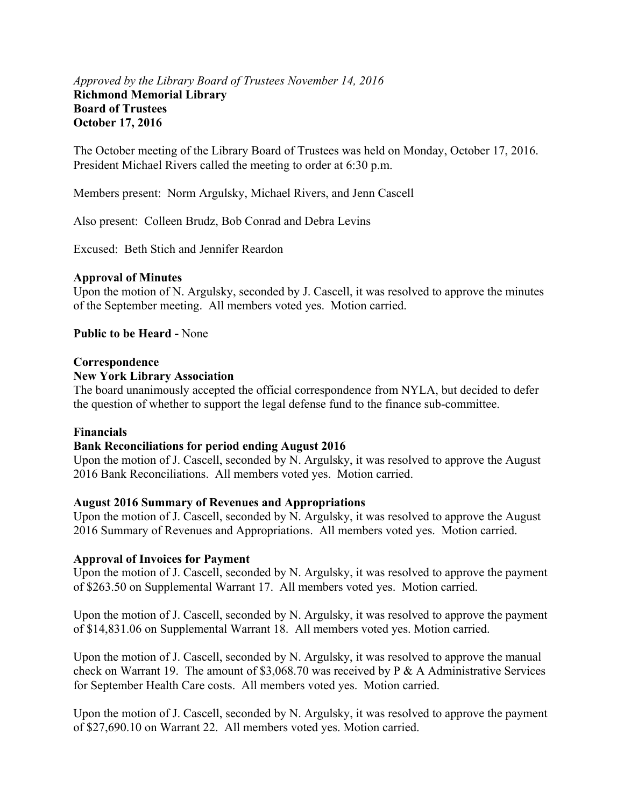#### *Approved by the Library Board of Trustees November 14, 2016* **Richmond Memorial Library Board of Trustees October 17, 2016**

The October meeting of the Library Board of Trustees was held on Monday, October 17, 2016. President Michael Rivers called the meeting to order at 6:30 p.m.

Members present: Norm Argulsky, Michael Rivers, and Jenn Cascell

Also present: Colleen Brudz, Bob Conrad and Debra Levins

Excused: Beth Stich and Jennifer Reardon

#### **Approval of Minutes**

Upon the motion of N. Argulsky, seconded by J. Cascell, it was resolved to approve the minutes of the September meeting. All members voted yes. Motion carried.

#### **Public to be Heard -** None

#### **Correspondence**

#### **New York Library Association**

The board unanimously accepted the official correspondence from NYLA, but decided to defer the question of whether to support the legal defense fund to the finance sub-committee.

#### **Financials**

#### **Bank Reconciliations for period ending August 2016**

Upon the motion of J. Cascell, seconded by N. Argulsky, it was resolved to approve the August 2016 Bank Reconciliations. All members voted yes. Motion carried.

#### **August 2016 Summary of Revenues and Appropriations**

Upon the motion of J. Cascell, seconded by N. Argulsky, it was resolved to approve the August 2016 Summary of Revenues and Appropriations. All members voted yes. Motion carried.

#### **Approval of Invoices for Payment**

Upon the motion of J. Cascell, seconded by N. Argulsky, it was resolved to approve the payment of \$263.50 on Supplemental Warrant 17. All members voted yes. Motion carried.

Upon the motion of J. Cascell, seconded by N. Argulsky, it was resolved to approve the payment of \$14,831.06 on Supplemental Warrant 18. All members voted yes. Motion carried.

Upon the motion of J. Cascell, seconded by N. Argulsky, it was resolved to approve the manual check on Warrant 19. The amount of \$3,068.70 was received by P & A Administrative Services for September Health Care costs. All members voted yes. Motion carried.

Upon the motion of J. Cascell, seconded by N. Argulsky, it was resolved to approve the payment of \$27,690.10 on Warrant 22. All members voted yes. Motion carried.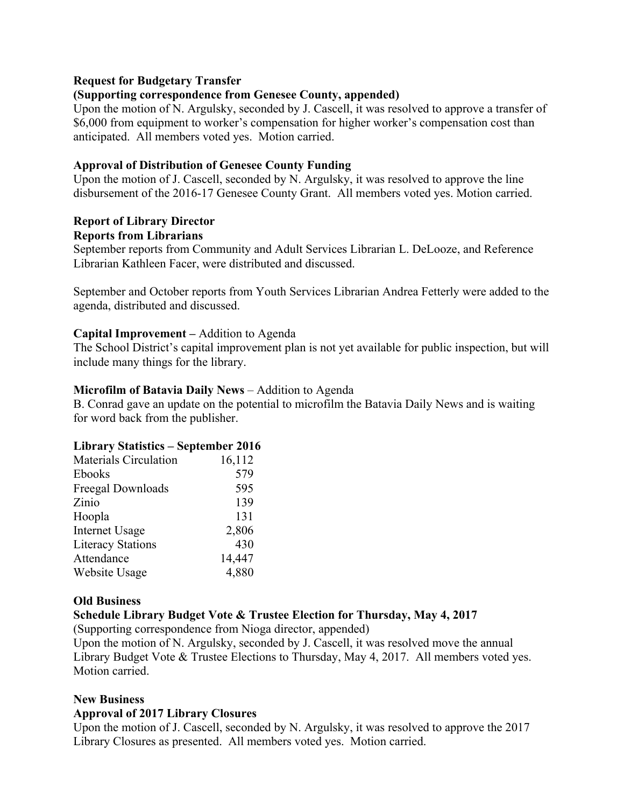#### **Request for Budgetary Transfer**

#### **(Supporting correspondence from Genesee County, appended)**

Upon the motion of N. Argulsky, seconded by J. Cascell, it was resolved to approve a transfer of \$6,000 from equipment to worker's compensation for higher worker's compensation cost than anticipated. All members voted yes. Motion carried.

#### **Approval of Distribution of Genesee County Funding**

Upon the motion of J. Cascell, seconded by N. Argulsky, it was resolved to approve the line disbursement of the 2016-17 Genesee County Grant. All members voted yes. Motion carried.

#### **Report of Library Director Reports from Librarians**

September reports from Community and Adult Services Librarian L. DeLooze, and Reference Librarian Kathleen Facer, were distributed and discussed.

September and October reports from Youth Services Librarian Andrea Fetterly were added to the agenda, distributed and discussed.

#### **Capital Improvement –** Addition to Agenda

The School District's capital improvement plan is not yet available for public inspection, but will include many things for the library.

#### **Microfilm of Batavia Daily News** – Addition to Agenda

B. Conrad gave an update on the potential to microfilm the Batavia Daily News and is waiting for word back from the publisher.

#### **Library Statistics – September 2016**

| <b>Materials Circulation</b> | 16,112 |
|------------------------------|--------|
| Ebooks                       | 579    |
| Freegal Downloads            | 595    |
| Zinio                        | 139    |
| Hoopla                       | 131    |
| <b>Internet Usage</b>        | 2,806  |
| <b>Literacy Stations</b>     | 430    |
| Attendance                   | 14,447 |
| Website Usage                | 4,880  |

#### **Old Business**

#### **Schedule Library Budget Vote & Trustee Election for Thursday, May 4, 2017**

(Supporting correspondence from Nioga director, appended)

Upon the motion of N. Argulsky, seconded by J. Cascell, it was resolved move the annual Library Budget Vote & Trustee Elections to Thursday, May 4, 2017. All members voted yes. Motion carried.

#### **New Business**

#### **Approval of 2017 Library Closures**

Upon the motion of J. Cascell, seconded by N. Argulsky, it was resolved to approve the 2017 Library Closures as presented. All members voted yes. Motion carried.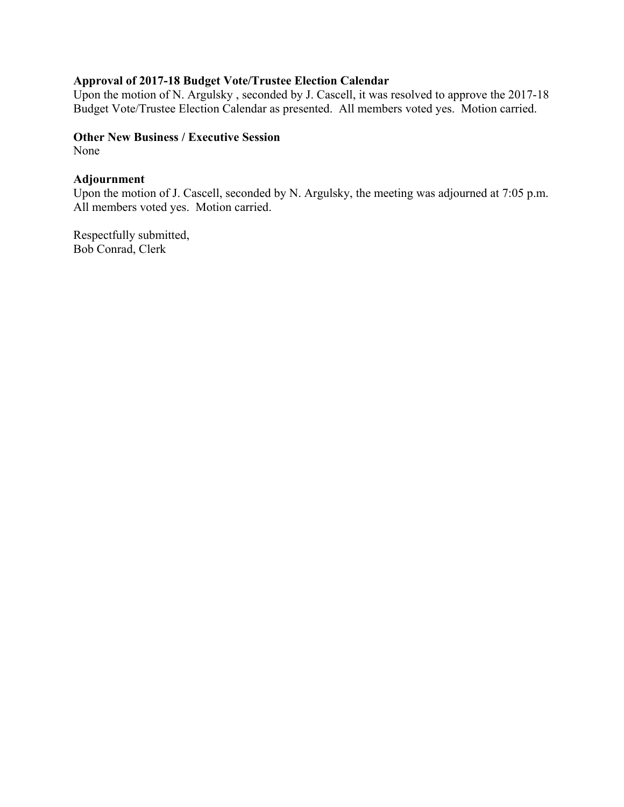#### **Approval of 2017-18 Budget Vote/Trustee Election Calendar**

Upon the motion of N. Argulsky, seconded by J. Cascell, it was resolved to approve the 2017-18 Budget Vote/Trustee Election Calendar as presented. All members voted yes. Motion carried.

#### **Other New Business / Executive Session**

None

#### **Adjournment**

Upon the motion of J. Cascell, seconded by N. Argulsky, the meeting was adjourned at 7:05 p.m. All members voted yes. Motion carried.

Respectfully submitted, Bob Conrad, Clerk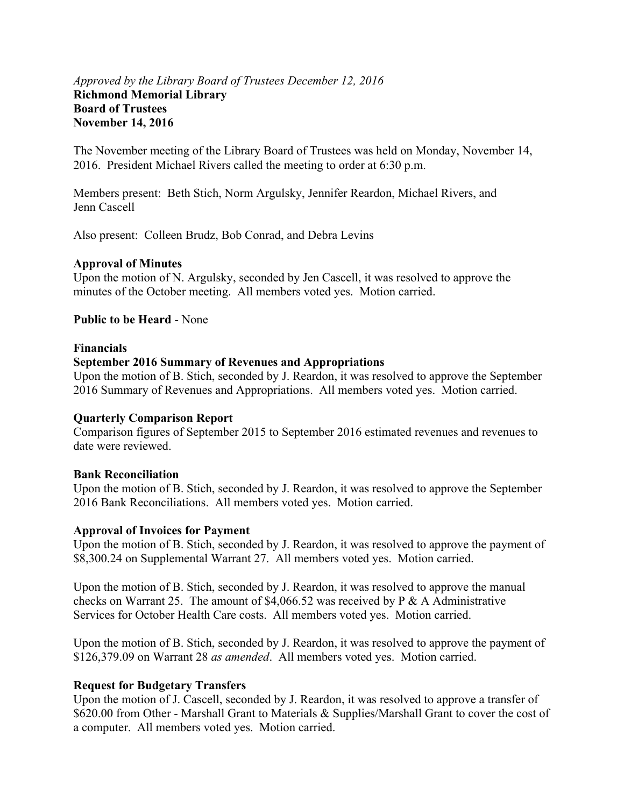#### *Approved by the Library Board of Trustees December 12, 2016* **Richmond Memorial Library Board of Trustees November 14, 2016**

The November meeting of the Library Board of Trustees was held on Monday, November 14, 2016. President Michael Rivers called the meeting to order at 6:30 p.m.

Members present: Beth Stich, Norm Argulsky, Jennifer Reardon, Michael Rivers, and Jenn Cascell

Also present: Colleen Brudz, Bob Conrad, and Debra Levins

#### **Approval of Minutes**

Upon the motion of N. Argulsky, seconded by Jen Cascell, it was resolved to approve the minutes of the October meeting. All members voted yes. Motion carried.

#### **Public to be Heard** - None

#### **Financials**

#### **September 2016 Summary of Revenues and Appropriations**

Upon the motion of B. Stich, seconded by J. Reardon, it was resolved to approve the September 2016 Summary of Revenues and Appropriations. All members voted yes. Motion carried.

#### **Quarterly Comparison Report**

Comparison figures of September 2015 to September 2016 estimated revenues and revenues to date were reviewed.

#### **Bank Reconciliation**

Upon the motion of B. Stich, seconded by J. Reardon, it was resolved to approve the September 2016 Bank Reconciliations. All members voted yes. Motion carried.

#### **Approval of Invoices for Payment**

Upon the motion of B. Stich, seconded by J. Reardon, it was resolved to approve the payment of \$8,300.24 on Supplemental Warrant 27. All members voted yes. Motion carried.

Upon the motion of B. Stich, seconded by J. Reardon, it was resolved to approve the manual checks on Warrant 25. The amount of \$4,066.52 was received by  $P \& A$  A Administrative Services for October Health Care costs. All members voted yes. Motion carried.

Upon the motion of B. Stich, seconded by J. Reardon, it was resolved to approve the payment of \$126,379.09 on Warrant 28 *as amended*. All members voted yes. Motion carried.

#### **Request for Budgetary Transfers**

Upon the motion of J. Cascell, seconded by J. Reardon, it was resolved to approve a transfer of \$620.00 from Other - Marshall Grant to Materials & Supplies/Marshall Grant to cover the cost of a computer. All members voted yes. Motion carried.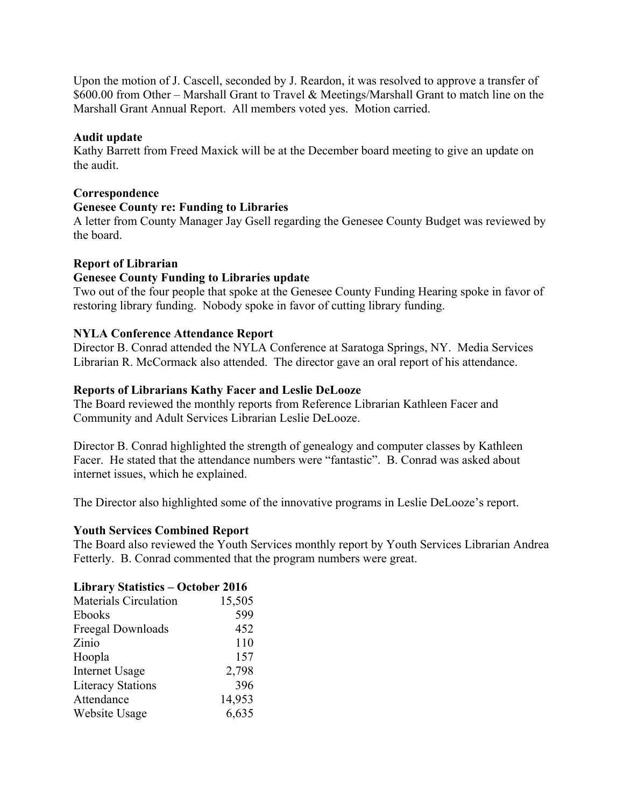Upon the motion of J. Cascell, seconded by J. Reardon, it was resolved to approve a transfer of \$600.00 from Other – Marshall Grant to Travel & Meetings/Marshall Grant to match line on the Marshall Grant Annual Report. All members voted yes. Motion carried.

#### **Audit update**

Kathy Barrett from Freed Maxick will be at the December board meeting to give an update on the audit.

#### **Correspondence**

#### **Genesee County re: Funding to Libraries**

A letter from County Manager Jay Gsell regarding the Genesee County Budget was reviewed by the board.

#### **Report of Librarian**

#### **Genesee County Funding to Libraries update**

Two out of the four people that spoke at the Genesee County Funding Hearing spoke in favor of restoring library funding. Nobody spoke in favor of cutting library funding.

#### **NYLA Conference Attendance Report**

Director B. Conrad attended the NYLA Conference at Saratoga Springs, NY. Media Services Librarian R. McCormack also attended. The director gave an oral report of his attendance.

#### **Reports of Librarians Kathy Facer and Leslie DeLooze**

The Board reviewed the monthly reports from Reference Librarian Kathleen Facer and Community and Adult Services Librarian Leslie DeLooze.

Director B. Conrad highlighted the strength of genealogy and computer classes by Kathleen Facer. He stated that the attendance numbers were "fantastic". B. Conrad was asked about internet issues, which he explained.

The Director also highlighted some of the innovative programs in Leslie DeLooze's report.

#### **Youth Services Combined Report**

The Board also reviewed the Youth Services monthly report by Youth Services Librarian Andrea Fetterly. B. Conrad commented that the program numbers were great.

#### **Library Statistics – October 2016**

| Materials Circulation    | 15,505 |
|--------------------------|--------|
| Ebooks                   | 599    |
| Freegal Downloads        | 452    |
| Zinio                    | 110    |
| Hoopla                   | 157    |
| <b>Internet Usage</b>    | 2,798  |
| <b>Literacy Stations</b> | 396    |
| Attendance               | 14,953 |
| Website Usage            | 6,635  |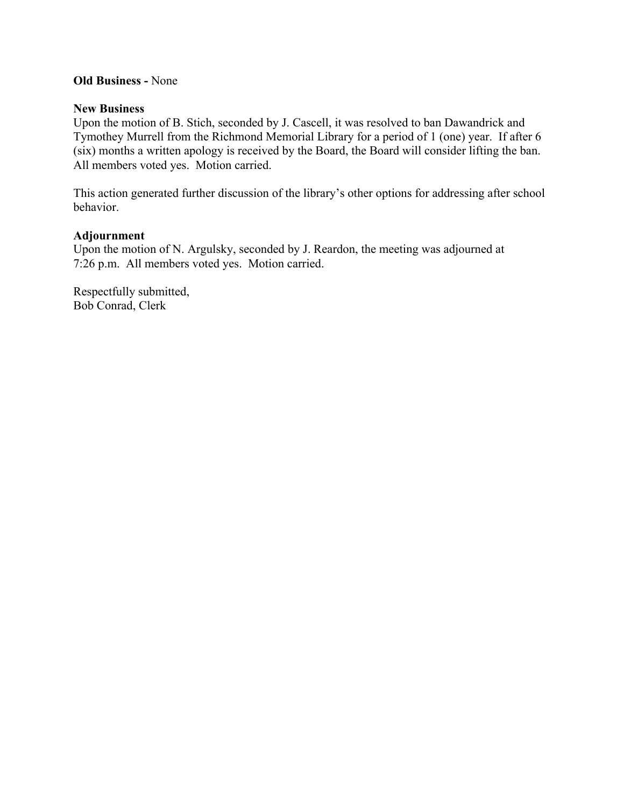#### **Old Business -** None

#### **New Business**

Upon the motion of B. Stich, seconded by J. Cascell, it was resolved to ban Dawandrick and Tymothey Murrell from the Richmond Memorial Library for a period of 1 (one) year. If after 6 (six) months a written apology is received by the Board, the Board will consider lifting the ban. All members voted yes. Motion carried.

This action generated further discussion of the library's other options for addressing after school behavior.

#### **Adjournment**

Upon the motion of N. Argulsky, seconded by J. Reardon, the meeting was adjourned at 7:26 p.m. All members voted yes. Motion carried.

Respectfully submitted, Bob Conrad, Clerk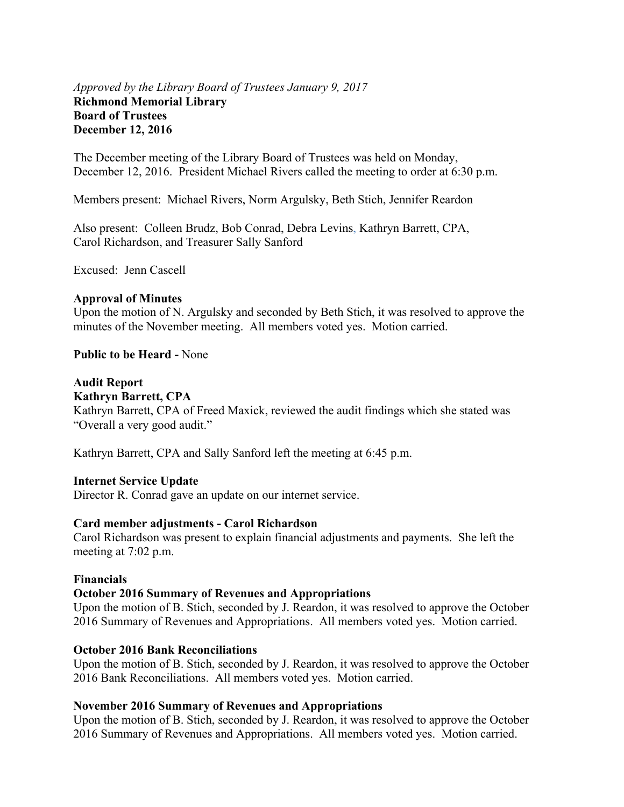#### *Approved by the Library Board of Trustees January 9, 2017* **Richmond Memorial Library Board of Trustees December 12, 2016**

The December meeting of the Library Board of Trustees was held on Monday, December 12, 2016. President Michael Rivers called the meeting to order at 6:30 p.m.

Members present: Michael Rivers, Norm Argulsky, Beth Stich, Jennifer Reardon

Also present: Colleen Brudz, Bob Conrad, Debra Levins, Kathryn Barrett, CPA, Carol Richardson, and Treasurer Sally Sanford

Excused: Jenn Cascell

#### **Approval of Minutes**

Upon the motion of N. Argulsky and seconded by Beth Stich, it was resolved to approve the minutes of the November meeting. All members voted yes. Motion carried.

**Public to be Heard -** None

#### **Audit Report**

#### **Kathryn Barrett, CPA**

Kathryn Barrett, CPA of Freed Maxick, reviewed the audit findings which she stated was "Overall a very good audit."

Kathryn Barrett, CPA and Sally Sanford left the meeting at 6:45 p.m.

#### **Internet Service Update**

Director R. Conrad gave an update on our internet service.

#### **Card member adjustments - Carol Richardson**

Carol Richardson was present to explain financial adjustments and payments. She left the meeting at 7:02 p.m.

#### **Financials**

#### **October 2016 Summary of Revenues and Appropriations**

Upon the motion of B. Stich, seconded by J. Reardon, it was resolved to approve the October 2016 Summary of Revenues and Appropriations. All members voted yes. Motion carried.

#### **October 2016 Bank Reconciliations**

Upon the motion of B. Stich, seconded by J. Reardon, it was resolved to approve the October 2016 Bank Reconciliations. All members voted yes. Motion carried.

#### **November 2016 Summary of Revenues and Appropriations**

Upon the motion of B. Stich, seconded by J. Reardon, it was resolved to approve the October 2016 Summary of Revenues and Appropriations. All members voted yes. Motion carried.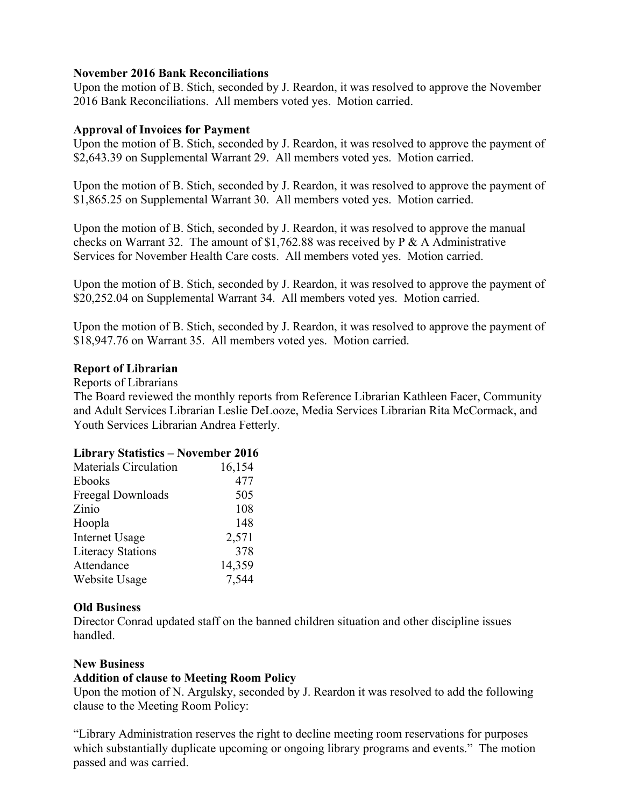#### **November 2016 Bank Reconciliations**

Upon the motion of B. Stich, seconded by J. Reardon, it was resolved to approve the November 2016 Bank Reconciliations. All members voted yes. Motion carried.

#### **Approval of Invoices for Payment**

Upon the motion of B. Stich, seconded by J. Reardon, it was resolved to approve the payment of \$2,643.39 on Supplemental Warrant 29. All members voted yes. Motion carried.

Upon the motion of B. Stich, seconded by J. Reardon, it was resolved to approve the payment of \$1,865.25 on Supplemental Warrant 30. All members voted yes. Motion carried.

Upon the motion of B. Stich, seconded by J. Reardon, it was resolved to approve the manual checks on Warrant 32. The amount of \$1,762.88 was received by P & A Administrative Services for November Health Care costs. All members voted yes. Motion carried.

Upon the motion of B. Stich, seconded by J. Reardon, it was resolved to approve the payment of \$20,252.04 on Supplemental Warrant 34. All members voted yes. Motion carried.

Upon the motion of B. Stich, seconded by J. Reardon, it was resolved to approve the payment of \$18,947.76 on Warrant 35. All members voted yes. Motion carried.

#### **Report of Librarian**

Reports of Librarians

The Board reviewed the monthly reports from Reference Librarian Kathleen Facer, Community and Adult Services Librarian Leslie DeLooze, Media Services Librarian Rita McCormack, and Youth Services Librarian Andrea Fetterly.

#### **Library Statistics – November 2016**

| <b>Materials Circulation</b> | 16,154 |
|------------------------------|--------|
| Ebooks                       | 477    |
| Freegal Downloads            | 505    |
| Zinio                        | 108    |
| Hoopla                       | 148    |
| <b>Internet Usage</b>        | 2,571  |
| <b>Literacy Stations</b>     | 378    |
| Attendance                   | 14,359 |
| Website Usage                | 7,544  |

#### **Old Business**

Director Conrad updated staff on the banned children situation and other discipline issues handled.

#### **New Business**

#### **Addition of clause to Meeting Room Policy**

Upon the motion of N. Argulsky, seconded by J. Reardon it was resolved to add the following clause to the Meeting Room Policy:

"Library Administration reserves the right to decline meeting room reservations for purposes which substantially duplicate upcoming or ongoing library programs and events." The motion passed and was carried.